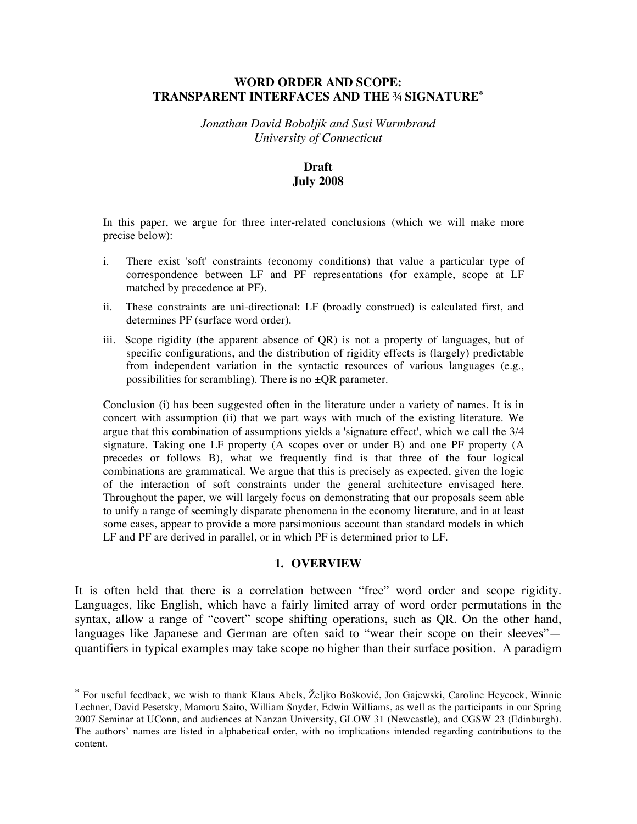## **WORD ORDER AND SCOPE: TRANSPARENT INTERFACES AND THE ¾ SIGNATURE\***

*Jonathan David Bobaljik and Susi Wurmbrand University of Connecticut*

# **Draft July 2008**

In this paper, we argue for three inter-related conclusions (which we will make more precise below):

- i. There exist 'soft' constraints (economy conditions) that value a particular type of correspondence between LF and PF representations (for example, scope at LF matched by precedence at PF).
- ii. These constraints are uni-directional: LF (broadly construed) is calculated first, and determines PF (surface word order).
- iii. Scope rigidity (the apparent absence of QR) is not a property of languages, but of specific configurations, and the distribution of rigidity effects is (largely) predictable from independent variation in the syntactic resources of various languages (e.g., possibilities for scrambling). There is no  $\pm QR$  parameter.

Conclusion (i) has been suggested often in the literature under a variety of names. It is in concert with assumption (ii) that we part ways with much of the existing literature. We argue that this combination of assumptions yields a 'signature effect', which we call the 3/4 signature. Taking one LF property (A scopes over or under B) and one PF property (A precedes or follows B), what we frequently find is that three of the four logical combinations are grammatical. We argue that this is precisely as expected, given the logic of the interaction of soft constraints under the general architecture envisaged here. Throughout the paper, we will largely focus on demonstrating that our proposals seem able to unify a range of seemingly disparate phenomena in the economy literature, and in at least some cases, appear to provide a more parsimonious account than standard models in which LF and PF are derived in parallel, or in which PF is determined prior to LF.

#### **1. OVERVIEW**

It is often held that there is a correlation between "free" word order and scope rigidity. Languages, like English, which have a fairly limited array of word order permutations in the syntax, allow a range of "covert" scope shifting operations, such as QR. On the other hand, languages like Japanese and German are often said to "wear their scope on their sleeves" quantifiers in typical examples may take scope no higher than their surface position. A paradigm

 <sup>\*</sup> For useful feedback, we wish to thank Klaus Abels, <sup>Ž</sup>eljko Bošković, Jon Gajewski, Caroline Heycock, Winnie Lechner, David Pesetsky, Mamoru Saito, William Snyder, Edwin Williams, as well as the participants in our Spring 2007 Seminar at UConn, and audiences at Nanzan University, GLOW 31 (Newcastle), and CGSW 23 (Edinburgh). The authors' names are listed in alphabetical order, with no implications intended regarding contributions to the content.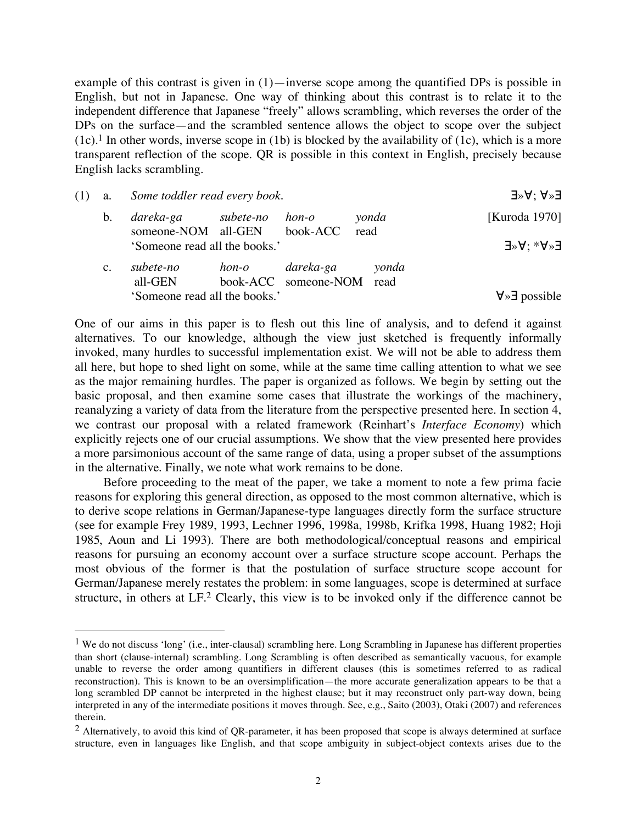example of this contrast is given in  $(1)$ —inverse scope among the quantified DPs is possible in English, but not in Japanese. One way of thinking about this contrast is to relate it to the independent difference that Japanese "freely" allows scrambling, which reverses the order of the DPs on the surface—and the scrambled sentence allows the object to scope over the subject  $(1c)$ .<sup>1</sup> In other words, inverse scope in (1b) is blocked by the availability of (1c), which is a more transparent reflection of the scope. QR is possible in this context in English, precisely because English lacks scrambling.

| (1) | a. | Some toddler read every book.              | $\exists^{\gg}A$ : A $^{\gg}$ |                                        |               |                                        |
|-----|----|--------------------------------------------|-------------------------------|----------------------------------------|---------------|----------------------------------------|
|     | b. | dareka-ga subete-no<br>someone-NOM all-GEN |                               | hon-o<br>book-ACC                      | yonda<br>read | [Kuroda 1970]                          |
|     |    | 'Someone read all the books.'              |                               |                                        |               | $\exists^{\gg}A$ : $_{*}A^{\gg}$ E     |
|     | c. | subete-no<br>all-GEN                       | hon-o                         | dareka-ga<br>book-ACC someone-NOM read | yonda         |                                        |
|     |    | 'Someone read all the books.'              |                               |                                        |               | $\forall \rightarrow \exists$ possible |

One of our aims in this paper is to flesh out this line of analysis, and to defend it against alternatives. To our knowledge, although the view just sketched is frequently informally invoked, many hurdles to successful implementation exist. We will not be able to address them all here, but hope to shed light on some, while at the same time calling attention to what we see as the major remaining hurdles. The paper is organized as follows. We begin by setting out the basic proposal, and then examine some cases that illustrate the workings of the machinery, reanalyzing a variety of data from the literature from the perspective presented here. In section 4, we contrast our proposal with a related framework (Reinhart's *Interface Economy*) which explicitly rejects one of our crucial assumptions. We show that the view presented here provides a more parsimonious account of the same range of data, using a proper subset of the assumptions in the alternative. Finally, we note what work remains to be done.

Before proceeding to the meat of the paper, we take a moment to note a few prima facie reasons for exploring this general direction, as opposed to the most common alternative, which is to derive scope relations in German/Japanese-type languages directly form the surface structure (see for example Frey 1989, 1993, Lechner 1996, 1998a, 1998b, Krifka 1998, Huang 1982; Hoji 1985, Aoun and Li 1993). There are both methodological/conceptual reasons and empirical reasons for pursuing an economy account over a surface structure scope account. Perhaps the most obvious of the former is that the postulation of surface structure scope account for German/Japanese merely restates the problem: in some languages, scope is determined at surface structure, in others at LF.<sup>2</sup> Clearly, this view is to be invoked only if the difference cannot be

<sup>&</sup>lt;sup>1</sup> We do not discuss 'long' (i.e., inter-clausal) scrambling here. Long Scrambling in Japanese has different properties than short (clause-internal) scrambling. Long Scrambling is often described as semantically vacuous, for example unable to reverse the order among quantifiers in different clauses (this is sometimes referred to as radical reconstruction). This is known to be an oversimplification—the more accurate generalization appears to be that a long scrambled DP cannot be interpreted in the highest clause; but it may reconstruct only part-way down, being interpreted in any of the intermediate positions it moves through. See, e.g., Saito (2003), Otaki (2007) and references therein.

 $2$  Alternatively, to avoid this kind of QR-parameter, it has been proposed that scope is always determined at surface structure, even in languages like English, and that scope ambiguity in subject-object contexts arises due to the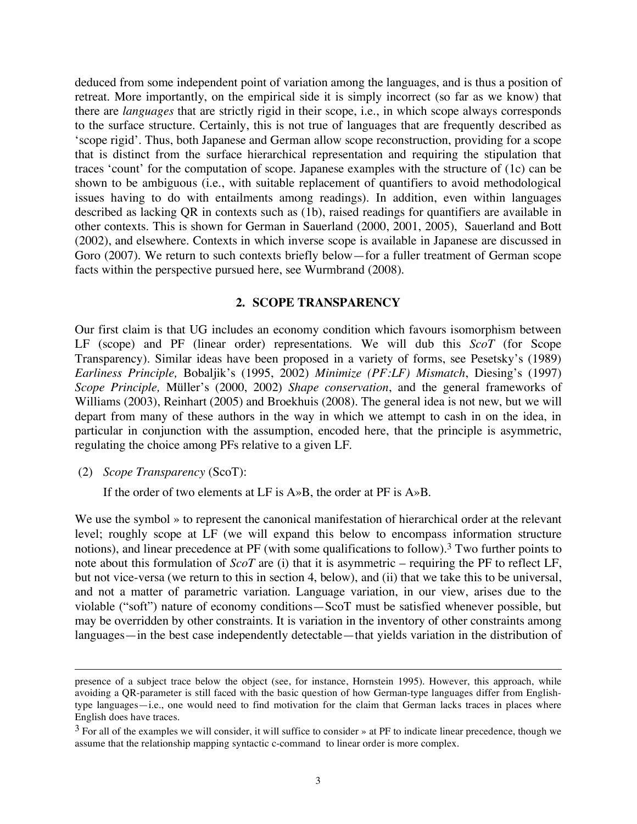deduced from some independent point of variation among the languages, and is thus a position of retreat. More importantly, on the empirical side it is simply incorrect (so far as we know) that there are *languages* that are strictly rigid in their scope, i.e., in which scope always corresponds to the surface structure. Certainly, this is not true of languages that are frequently described as 'scope rigid'. Thus, both Japanese and German allow scope reconstruction, providing for a scope that is distinct from the surface hierarchical representation and requiring the stipulation that traces 'count' for the computation of scope. Japanese examples with the structure of (1c) can be shown to be ambiguous (i.e., with suitable replacement of quantifiers to avoid methodological issues having to do with entailments among readings). In addition, even within languages described as lacking QR in contexts such as (1b), raised readings for quantifiers are available in other contexts. This is shown for German in Sauerland (2000, 2001, 2005), Sauerland and Bott (2002), and elsewhere. Contexts in which inverse scope is available in Japanese are discussed in Goro (2007). We return to such contexts briefly below—for a fuller treatment of German scope facts within the perspective pursued here, see Wurmbrand (2008).

#### **2. SCOPE TRANSPARENCY**

Our first claim is that UG includes an economy condition which favours isomorphism between LF (scope) and PF (linear order) representations. We will dub this *ScoT* (for Scope Transparency). Similar ideas have been proposed in a variety of forms, see Pesetsky's (1989) *Earliness Principle,* Bobaljik's (1995, 2002) *Minimize (PF:LF) Mismatch*, Diesing's (1997) *Scope Principle,* Müller's (2000, 2002) *Shape conservation*, and the general frameworks of Williams (2003), Reinhart (2005) and Broekhuis (2008). The general idea is not new, but we will depart from many of these authors in the way in which we attempt to cash in on the idea, in particular in conjunction with the assumption, encoded here, that the principle is asymmetric, regulating the choice among PFs relative to a given LF.

#### (2) *Scope Transparency* (ScoT):

 $\overline{a}$ 

If the order of two elements at LF is A»B, the order at PF is A»B.

We use the symbol » to represent the canonical manifestation of hierarchical order at the relevant level; roughly scope at LF (we will expand this below to encompass information structure notions), and linear precedence at PF (with some qualifications to follow).<sup>3</sup> Two further points to note about this formulation of *ScoT* are (i) that it is asymmetric – requiring the PF to reflect LF, but not vice-versa (we return to this in section 4, below), and (ii) that we take this to be universal, and not a matter of parametric variation. Language variation, in our view, arises due to the violable ("soft") nature of economy conditions—ScoT must be satisfied whenever possible, but may be overridden by other constraints. It is variation in the inventory of other constraints among languages—in the best case independently detectable—that yields variation in the distribution of

presence of a subject trace below the object (see, for instance, Hornstein 1995). However, this approach, while avoiding a QR-parameter is still faced with the basic question of how German-type languages differ from Englishtype languages—i.e., one would need to find motivation for the claim that German lacks traces in places where English does have traces.

 $3$  For all of the examples we will consider, it will suffice to consider » at PF to indicate linear precedence, though we assume that the relationship mapping syntactic c-command to linear order is more complex.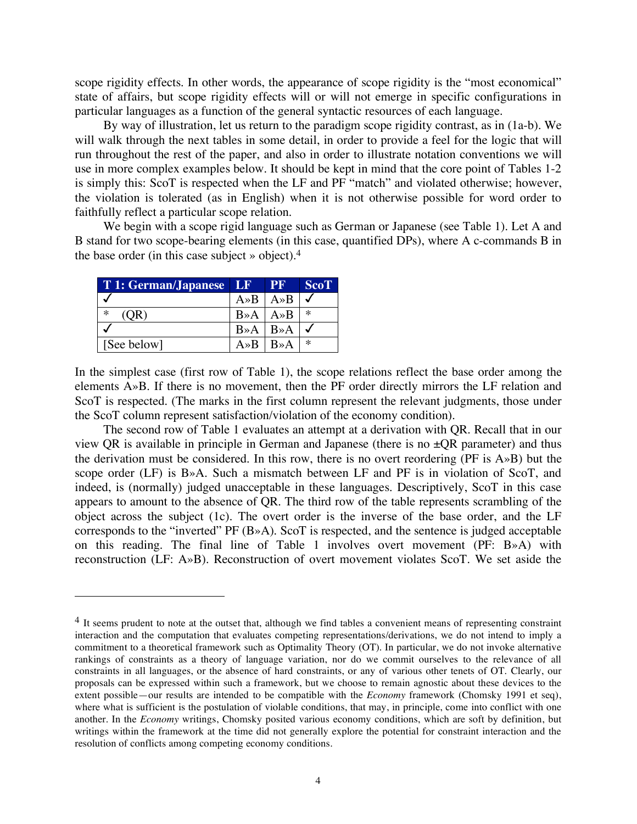scope rigidity effects. In other words, the appearance of scope rigidity is the "most economical" state of affairs, but scope rigidity effects will or will not emerge in specific configurations in particular languages as a function of the general syntactic resources of each language.

By way of illustration, let us return to the paradigm scope rigidity contrast, as in (1a-b). We will walk through the next tables in some detail, in order to provide a feel for the logic that will run throughout the rest of the paper, and also in order to illustrate notation conventions we will use in more complex examples below. It should be kept in mind that the core point of Tables 1-2 is simply this: ScoT is respected when the LF and PF "match" and violated otherwise; however, the violation is tolerated (as in English) when it is not otherwise possible for word order to faithfully reflect a particular scope relation.

We begin with a scope rigid language such as German or Japanese (see Table 1). Let A and B stand for two scope-bearing elements (in this case, quantified DPs), where A c-commands B in the base order (in this case subject » object). 4

| T 1: German/Japanese LF |                                        | I PR                                   | <b>ScoT</b> |
|-------------------------|----------------------------------------|----------------------------------------|-------------|
|                         | $A \rightarrow B \mid A \rightarrow B$ |                                        |             |
| $\ast$<br>(QR)          | $B \rightarrow A \mid A \rightarrow B$ |                                        | $\ast$      |
|                         |                                        | $B \rightarrow A \mid B \rightarrow A$ |             |
| [See below]             | $A \gg B$                              | $B \rightarrow A$                      | $\ast$      |

 $\overline{a}$ 

In the simplest case (first row of Table 1), the scope relations reflect the base order among the elements A»B. If there is no movement, then the PF order directly mirrors the LF relation and ScoT is respected. (The marks in the first column represent the relevant judgments, those under the ScoT column represent satisfaction/violation of the economy condition).

The second row of Table 1 evaluates an attempt at a derivation with QR. Recall that in our view QR is available in principle in German and Japanese (there is no  $\pm$ QR parameter) and thus the derivation must be considered. In this row, there is no overt reordering (PF is A»B) but the scope order (LF) is B»A. Such a mismatch between LF and PF is in violation of ScoT, and indeed, is (normally) judged unacceptable in these languages. Descriptively, ScoT in this case appears to amount to the absence of QR. The third row of the table represents scrambling of the object across the subject (1c). The overt order is the inverse of the base order, and the LF corresponds to the "inverted" PF (B»A). ScoT is respected, and the sentence is judged acceptable on this reading. The final line of Table 1 involves overt movement (PF: B»A) with reconstruction (LF: A»B). Reconstruction of overt movement violates ScoT. We set aside the

<sup>&</sup>lt;sup>4</sup> It seems prudent to note at the outset that, although we find tables a convenient means of representing constraint interaction and the computation that evaluates competing representations/derivations, we do not intend to imply a commitment to a theoretical framework such as Optimality Theory (OT). In particular, we do not invoke alternative rankings of constraints as a theory of language variation, nor do we commit ourselves to the relevance of all constraints in all languages, or the absence of hard constraints, or any of various other tenets of OT. Clearly, our proposals can be expressed within such a framework, but we choose to remain agnostic about these devices to the extent possible—our results are intended to be compatible with the *Economy* framework (Chomsky 1991 et seq), where what is sufficient is the postulation of violable conditions, that may, in principle, come into conflict with one another. In the *Economy* writings, Chomsky posited various economy conditions, which are soft by definition, but writings within the framework at the time did not generally explore the potential for constraint interaction and the resolution of conflicts among competing economy conditions.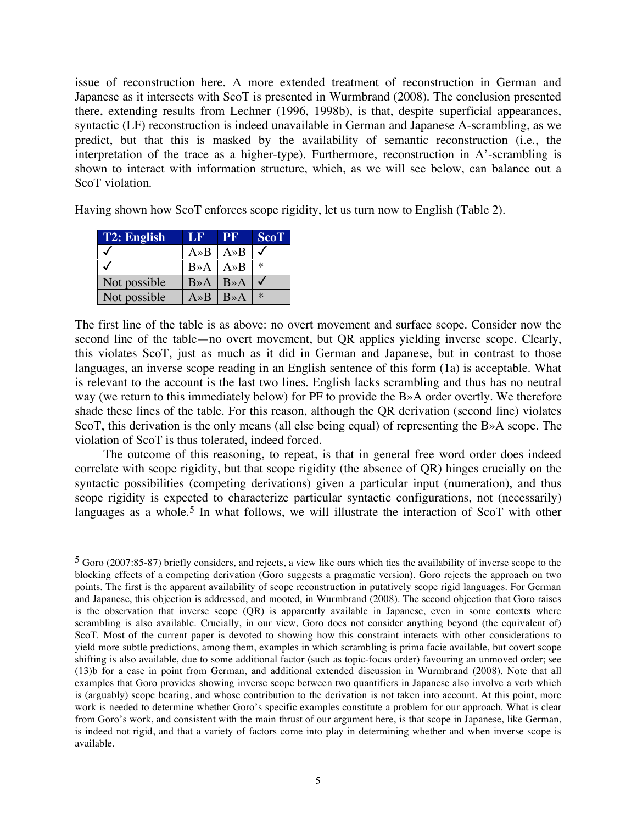issue of reconstruction here. A more extended treatment of reconstruction in German and Japanese as it intersects with ScoT is presented in Wurmbrand (2008). The conclusion presented there, extending results from Lechner (1996, 1998b), is that, despite superficial appearances, syntactic (LF) reconstruction is indeed unavailable in German and Japanese A-scrambling, as we predict, but that this is masked by the availability of semantic reconstruction (i.e., the interpretation of the trace as a higher-type). Furthermore, reconstruction in A'-scrambling is shown to interact with information structure, which, as we will see below, can balance out a ScoT violation.

Having shown how ScoT enforces scope rigidity, let us turn now to English (Table 2).

| T2: English  | LF                                     | TPR.              | <b>ScoT</b> |
|--------------|----------------------------------------|-------------------|-------------|
|              | $A \rightarrow B$                      | $A \rightarrow B$ |             |
|              | $B \rightarrow A$                      | $A \rightarrow B$ | $\ast$      |
| Not possible | $B \rightarrow A \mid B \rightarrow A$ |                   |             |
| Not possible | $A \rightarrow B$                      | $B \rightarrow A$ | $\ast$      |

The first line of the table is as above: no overt movement and surface scope. Consider now the second line of the table—no overt movement, but QR applies yielding inverse scope. Clearly, this violates ScoT, just as much as it did in German and Japanese, but in contrast to those languages, an inverse scope reading in an English sentence of this form (1a) is acceptable. What is relevant to the account is the last two lines. English lacks scrambling and thus has no neutral way (we return to this immediately below) for PF to provide the B»A order overtly. We therefore shade these lines of the table. For this reason, although the QR derivation (second line) violates ScoT, this derivation is the only means (all else being equal) of representing the B»A scope. The violation of ScoT is thus tolerated, indeed forced.

The outcome of this reasoning, to repeat, is that in general free word order does indeed correlate with scope rigidity, but that scope rigidity (the absence of QR) hinges crucially on the syntactic possibilities (competing derivations) given a particular input (numeration), and thus scope rigidity is expected to characterize particular syntactic configurations, not (necessarily) languages as a whole.<sup>5</sup> In what follows, we will illustrate the interaction of ScoT with other

 <sup>5</sup> Goro (2007:85-87) briefly considers, and rejects, <sup>a</sup> view like ours which ties the availability of inverse scope to the blocking effects of a competing derivation (Goro suggests a pragmatic version). Goro rejects the approach on two points. The first is the apparent availability of scope reconstruction in putatively scope rigid languages. For German and Japanese, this objection is addressed, and mooted, in Wurmbrand (2008). The second objection that Goro raises is the observation that inverse scope (QR) is apparently available in Japanese, even in some contexts where scrambling is also available. Crucially, in our view, Goro does not consider anything beyond (the equivalent of) ScoT. Most of the current paper is devoted to showing how this constraint interacts with other considerations to yield more subtle predictions, among them, examples in which scrambling is prima facie available, but covert scope shifting is also available, due to some additional factor (such as topic-focus order) favouring an unmoved order; see (13)b for a case in point from German, and additional extended discussion in Wurmbrand (2008). Note that all examples that Goro provides showing inverse scope between two quantifiers in Japanese also involve a verb which is (arguably) scope bearing, and whose contribution to the derivation is not taken into account. At this point, more work is needed to determine whether Goro's specific examples constitute a problem for our approach. What is clear from Goro's work, and consistent with the main thrust of our argument here, is that scope in Japanese, like German, is indeed not rigid, and that a variety of factors come into play in determining whether and when inverse scope is available.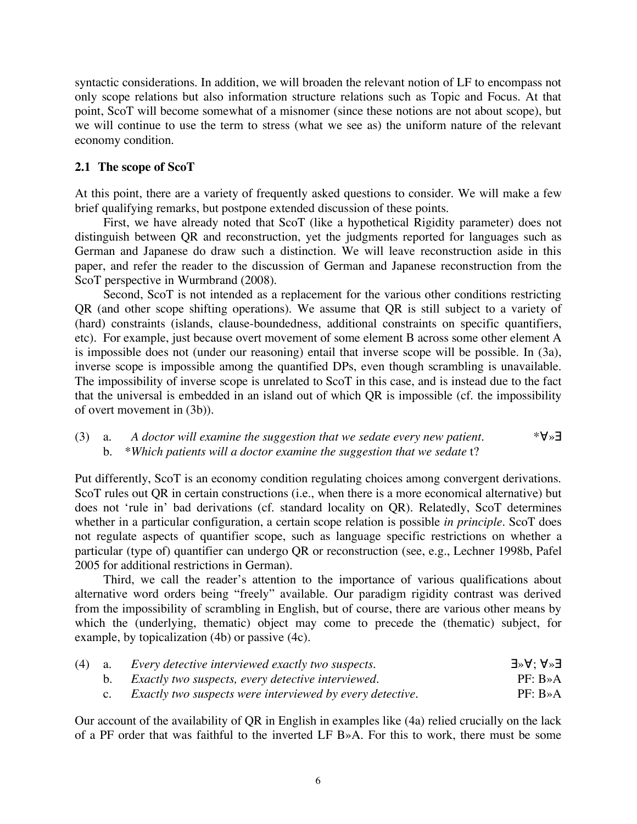syntactic considerations. In addition, we will broaden the relevant notion of LF to encompass not only scope relations but also information structure relations such as Topic and Focus. At that point, ScoT will become somewhat of a misnomer (since these notions are not about scope), but we will continue to use the term to stress (what we see as) the uniform nature of the relevant economy condition.

## **2.1 The scope of ScoT**

At this point, there are a variety of frequently asked questions to consider. We will make a few brief qualifying remarks, but postpone extended discussion of these points.

First, we have already noted that ScoT (like a hypothetical Rigidity parameter) does not distinguish between QR and reconstruction, yet the judgments reported for languages such as German and Japanese do draw such a distinction. We will leave reconstruction aside in this paper, and refer the reader to the discussion of German and Japanese reconstruction from the ScoT perspective in Wurmbrand (2008).

Second, ScoT is not intended as a replacement for the various other conditions restricting QR (and other scope shifting operations). We assume that QR is still subject to a variety of (hard) constraints (islands, clause-boundedness, additional constraints on specific quantifiers, etc). For example, just because overt movement of some element B across some other element A is impossible does not (under our reasoning) entail that inverse scope will be possible. In (3a), inverse scope is impossible among the quantified DPs, even though scrambling is unavailable. The impossibility of inverse scope is unrelated to ScoT in this case, and is instead due to the fact that the universal is embedded in an island out of which QR is impossible (cf. the impossibility of overt movement in (3b)).

# (3) a. *A doctor will examine the suggestion that we sedate every new patient.* \*∀»∃ b. \**Which patients will a doctor examine the suggestion that we sedate* t?

Put differently, ScoT is an economy condition regulating choices among convergent derivations. ScoT rules out QR in certain constructions (i.e., when there is a more economical alternative) but does not 'rule in' bad derivations (cf. standard locality on QR). Relatedly, ScoT determines whether in a particular configuration, a certain scope relation is possible *in principle*. ScoT does not regulate aspects of quantifier scope, such as language specific restrictions on whether a particular (type of) quantifier can undergo QR or reconstruction (see, e.g., Lechner 1998b, Pafel 2005 for additional restrictions in German).

Third, we call the reader's attention to the importance of various qualifications about alternative word orders being "freely" available. Our paradigm rigidity contrast was derived from the impossibility of scrambling in English, but of course, there are various other means by which the (underlying, thematic) object may come to precede the (thematic) subject, for example, by topicalization (4b) or passive (4c).

|  | $(4)$ a. Every detective interviewed exactly two suspects. | $J^*A$ : A $^*$ E     |
|--|------------------------------------------------------------|-----------------------|
|  | b. Exactly two suspects, every detective interviewed.      | $PF: B \rightarrow A$ |
|  | Exactly two suspects were interviewed by every detective.  | $PF: B \rightarrow A$ |

Our account of the availability of QR in English in examples like (4a) relied crucially on the lack of a PF order that was faithful to the inverted LF B»A. For this to work, there must be some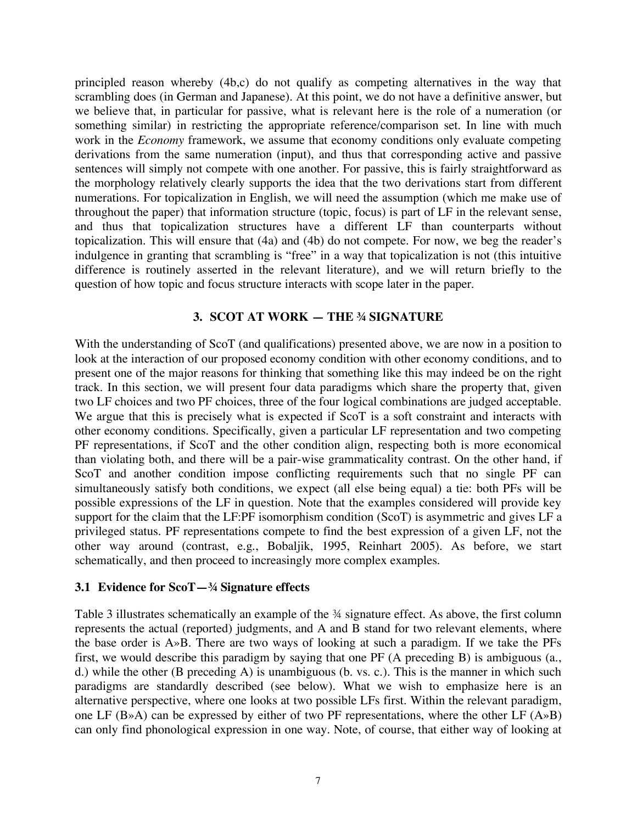principled reason whereby (4b,c) do not qualify as competing alternatives in the way that scrambling does (in German and Japanese). At this point, we do not have a definitive answer, but we believe that, in particular for passive, what is relevant here is the role of a numeration (or something similar) in restricting the appropriate reference/comparison set. In line with much work in the *Economy* framework, we assume that economy conditions only evaluate competing derivations from the same numeration (input), and thus that corresponding active and passive sentences will simply not compete with one another. For passive, this is fairly straightforward as the morphology relatively clearly supports the idea that the two derivations start from different numerations. For topicalization in English, we will need the assumption (which me make use of throughout the paper) that information structure (topic, focus) is part of LF in the relevant sense, and thus that topicalization structures have a different LF than counterparts without topicalization. This will ensure that (4a) and (4b) do not compete. For now, we beg the reader's indulgence in granting that scrambling is "free" in a way that topicalization is not (this intuitive difference is routinely asserted in the relevant literature), and we will return briefly to the question of how topic and focus structure interacts with scope later in the paper.

### **3. SCOT AT WORK — THE ¾ SIGNATURE**

With the understanding of ScoT (and qualifications) presented above, we are now in a position to look at the interaction of our proposed economy condition with other economy conditions, and to present one of the major reasons for thinking that something like this may indeed be on the right track. In this section, we will present four data paradigms which share the property that, given two LF choices and two PF choices, three of the four logical combinations are judged acceptable. We argue that this is precisely what is expected if ScoT is a soft constraint and interacts with other economy conditions. Specifically, given a particular LF representation and two competing PF representations, if ScoT and the other condition align, respecting both is more economical than violating both, and there will be a pair-wise grammaticality contrast. On the other hand, if ScoT and another condition impose conflicting requirements such that no single PF can simultaneously satisfy both conditions, we expect (all else being equal) a tie: both PFs will be possible expressions of the LF in question. Note that the examples considered will provide key support for the claim that the LF:PF isomorphism condition (ScoT) is asymmetric and gives LF a privileged status. PF representations compete to find the best expression of a given LF, not the other way around (contrast, e.g., Bobaljik, 1995, Reinhart 2005). As before, we start schematically, and then proceed to increasingly more complex examples.

#### **3.1 Evidence for ScoT—¾ Signature effects**

Table 3 illustrates schematically an example of the  $\frac{3}{4}$  signature effect. As above, the first column represents the actual (reported) judgments, and A and B stand for two relevant elements, where the base order is A»B. There are two ways of looking at such a paradigm. If we take the PFs first, we would describe this paradigm by saying that one PF (A preceding B) is ambiguous (a., d.) while the other (B preceding A) is unambiguous (b. vs. c.). This is the manner in which such paradigms are standardly described (see below). What we wish to emphasize here is an alternative perspective, where one looks at two possible LFs first. Within the relevant paradigm, one LF (B»A) can be expressed by either of two PF representations, where the other LF (A»B) can only find phonological expression in one way. Note, of course, that either way of looking at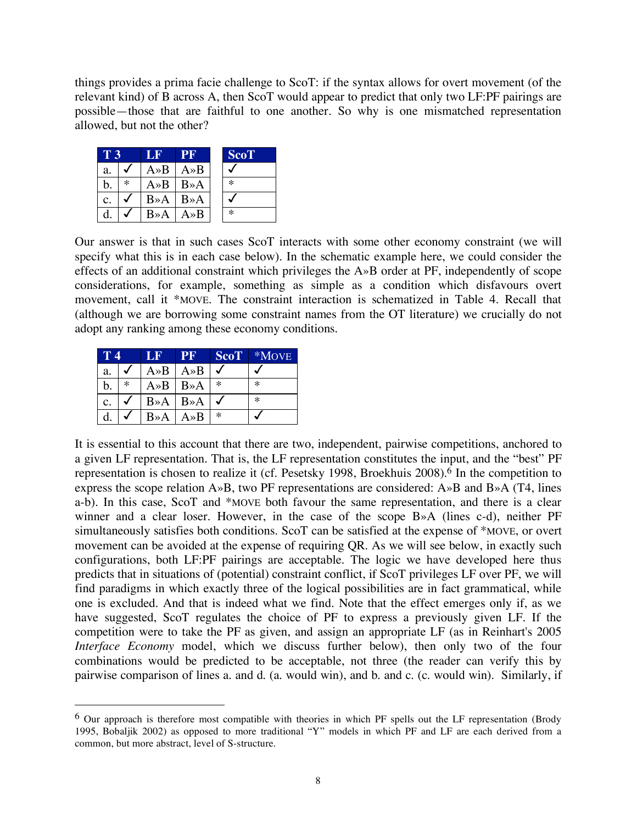things provides a prima facie challenge to ScoT: if the syntax allows for overt movement (of the relevant kind) of B across A, then ScoT would appear to predict that only two LF:PF pairings are possible—those that are faithful to one another. So why is one mismatched representation allowed, but not the other?

| T 3 |        | PF<br>1 J B       |                   | <b>ScoT</b> |  |  |
|-----|--------|-------------------|-------------------|-------------|--|--|
| a.  |        | $A \rightarrow B$ | $A \rightarrow B$ |             |  |  |
| b.  | $\ast$ | $A \rightarrow B$ | $B \rightarrow A$ | $\ast$      |  |  |
| c.  |        | $B \rightarrow A$ | $B \rightarrow A$ |             |  |  |
| d   |        | $B \rightarrow A$ | $A \rightarrow B$ | $\ast$      |  |  |

Our answer is that in such cases ScoT interacts with some other economy constraint (we will specify what this is in each case below). In the schematic example here, we could consider the effects of an additional constraint which privileges the A»B order at PF, independently of scope considerations, for example, something as simple as a condition which disfavours overt movement, call it \*MOVE. The constraint interaction is schematized in Table 4. Recall that (although we are borrowing some constraint names from the OT literature) we crucially do not adopt any ranking among these economy conditions.

| T 4 |        | LF                | <b>PF</b>            | <b>ScoT</b> | *MOVE  |
|-----|--------|-------------------|----------------------|-------------|--------|
| a.  |        | $A \rightarrow B$ | $A \rightarrow B$    |             |        |
| b.  | $\ast$ | $A \rightarrow B$ | $B \rightarrow A$    | $\ast$      | ∗      |
| c.  |        | $B \rightarrow A$ | $B \rightarrow A$    |             | $\ast$ |
| d.  |        | $B \rightarrow A$ | $A \!\!\times\!\! B$ | $\ast$      |        |

It is essential to this account that there are two, independent, pairwise competitions, anchored to a given LF representation. That is, the LF representation constitutes the input, and the "best" PF representation is chosen to realize it (cf. Pesetsky 1998, Broekhuis 2008). <sup>6</sup> In the competition to express the scope relation A»B, two PF representations are considered: A»B and B»A (T4, lines a-b). In this case, ScoT and \*MOVE both favour the same representation, and there is a clear winner and a clear loser. However, in the case of the scope B»A (lines c-d), neither PF simultaneously satisfies both conditions. ScoT can be satisfied at the expense of \*MOVE, or overt movement can be avoided at the expense of requiring QR. As we will see below, in exactly such configurations, both LF:PF pairings are acceptable. The logic we have developed here thus predicts that in situations of (potential) constraint conflict, if ScoT privileges LF over PF, we will find paradigms in which exactly three of the logical possibilities are in fact grammatical, while one is excluded. And that is indeed what we find. Note that the effect emerges only if, as we have suggested, ScoT regulates the choice of PF to express a previously given LF. If the competition were to take the PF as given, and assign an appropriate LF (as in Reinhart's 2005 *Interface Economy* model, which we discuss further below), then only two of the four combinations would be predicted to be acceptable, not three (the reader can verify this by pairwise comparison of lines a. and d. (a. would win), and b. and c. (c. would win). Similarly, if

 <sup>6</sup> Our approach is therefore most compatible with theories in which PF spells out the LF representation (Brody 1995, Bobaljik 2002) as opposed to more traditional "Y" models in which PF and LF are each derived from a common, but more abstract, level of S-structure.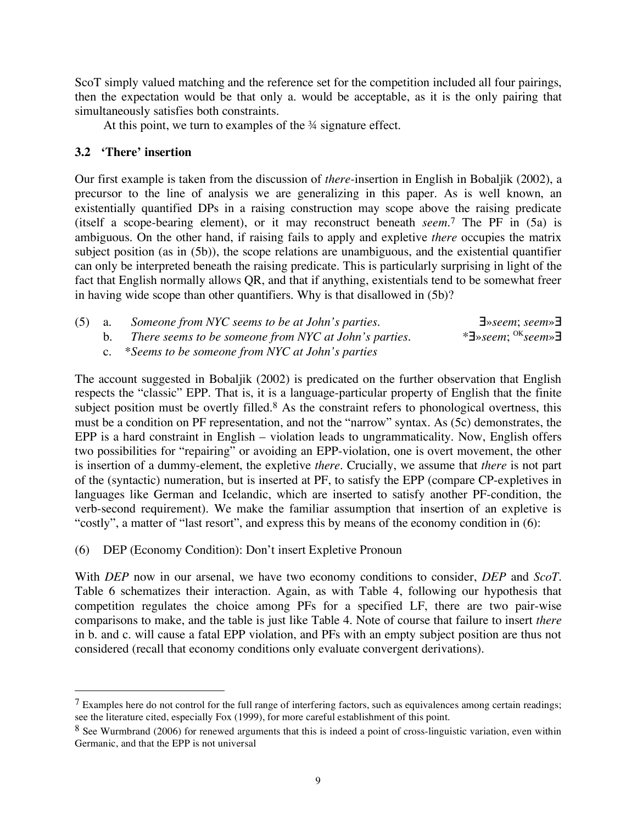ScoT simply valued matching and the reference set for the competition included all four pairings, then the expectation would be that only a. would be acceptable, as it is the only pairing that simultaneously satisfies both constraints.

At this point, we turn to examples of the  $\frac{3}{4}$  signature effect.

# **3.2 'There' insertion**

Our first example is taken from the discussion of *there-*insertion in English in Bobaljik (2002), a precursor to the line of analysis we are generalizing in this paper. As is well known, an existentially quantified DPs in a raising construction may scope above the raising predicate (itself a scope-bearing element), or it may reconstruct beneath *seem*.7 The PF in (5a) is ambiguous. On the other hand, if raising fails to apply and expletive *there* occupies the matrix subject position (as in (5b)), the scope relations are unambiguous, and the existential quantifier can only be interpreted beneath the raising predicate. This is particularly surprising in light of the fact that English normally allows QR, and that if anything, existentials tend to be somewhat freer in having wide scope than other quantifiers. Why is that disallowed in (5b)?

| $(5)$ a. | Someone from NYC seems to be at John's parties.       | $\exists$ »seem; seem» $\exists$                 |
|----------|-------------------------------------------------------|--------------------------------------------------|
|          | There seems to be someone from NYC at John's parties. | * $\exists$ »seem; <sup>OK</sup> seem» $\exists$ |
|          | c. *Seems to be someone from NYC at John's parties    |                                                  |

The account suggested in Bobaljik (2002) is predicated on the further observation that English respects the "classic" EPP. That is, it is a language-particular property of English that the finite subject position must be overtly filled.<sup>8</sup> As the constraint refers to phonological overtness, this must be a condition on PF representation, and not the "narrow" syntax. As (5c) demonstrates, the EPP is a hard constraint in English – violation leads to ungrammaticality. Now, English offers two possibilities for "repairing" or avoiding an EPP-violation, one is overt movement, the other is insertion of a dummy-element, the expletive *there*. Crucially, we assume that *there* is not part of the (syntactic) numeration, but is inserted at PF, to satisfy the EPP (compare CP-expletives in languages like German and Icelandic, which are inserted to satisfy another PF-condition, the verb-second requirement). We make the familiar assumption that insertion of an expletive is "costly", a matter of "last resort", and express this by means of the economy condition in (6):

(6) DEP (Economy Condition): Don't insert Expletive Pronoun

With *DEP* now in our arsenal, we have two economy conditions to consider, *DEP* and *ScoT*. Table 6 schematizes their interaction. Again, as with Table 4, following our hypothesis that competition regulates the choice among PFs for a specified LF, there are two pair-wise comparisons to make, and the table is just like Table 4. Note of course that failure to insert *there* in b. and c. will cause a fatal EPP violation, and PFs with an empty subject position are thus not considered (recall that economy conditions only evaluate convergent derivations).

 $7$  Examples here do not control for the full range of interfering factors, such as equivalences among certain readings; see the literature cited, especially Fox (1999), for more careful establishment of this point.

<sup>&</sup>lt;sup>8</sup> See Wurmbrand (2006) for renewed arguments that this is indeed a point of cross-linguistic variation, even within Germanic, and that the EPP is not universal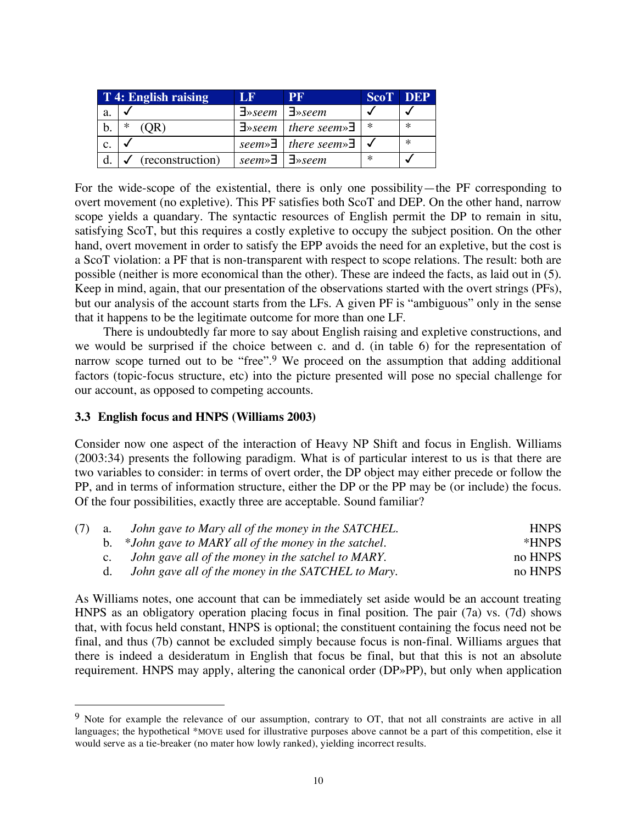|    | T 4: English raising | T F                               | PF                                                     | <b>ScoT</b> DEP |        |
|----|----------------------|-----------------------------------|--------------------------------------------------------|-----------------|--------|
| a. |                      | $\exists$ »seem   $\exists$ »seem |                                                        |                 |        |
|    | ∗                    |                                   | $\exists$ » seem   there seem» $\exists$               | $\ast$          | $\ast$ |
|    |                      |                                   | seem» $\exists$   there seem» $\exists$   $\checkmark$ |                 | $\ast$ |
|    | (reconstruction)     | seem» $\exists$   $\exists$ »seem |                                                        | $\ast$          |        |

For the wide-scope of the existential, there is only one possibility—the PF corresponding to overt movement (no expletive). This PF satisfies both ScoT and DEP. On the other hand, narrow scope yields a quandary. The syntactic resources of English permit the DP to remain in situ, satisfying ScoT, but this requires a costly expletive to occupy the subject position. On the other hand, overt movement in order to satisfy the EPP avoids the need for an expletive, but the cost is a ScoT violation: a PF that is non-transparent with respect to scope relations. The result: both are possible (neither is more economical than the other). These are indeed the facts, as laid out in (5). Keep in mind, again, that our presentation of the observations started with the overt strings (PFs), but our analysis of the account starts from the LFs. A given PF is "ambiguous" only in the sense that it happens to be the legitimate outcome for more than one LF.

There is undoubtedly far more to say about English raising and expletive constructions, and we would be surprised if the choice between c. and d. (in table 6) for the representation of narrow scope turned out to be "free".<sup>9</sup> We proceed on the assumption that adding additional factors (topic-focus structure, etc) into the picture presented will pose no special challenge for our account, as opposed to competing accounts.

## **3.3 English focus and HNPS (Williams 2003)**

Consider now one aspect of the interaction of Heavy NP Shift and focus in English. Williams (2003:34) presents the following paradigm. What is of particular interest to us is that there are two variables to consider: in terms of overt order, the DP object may either precede or follow the PP, and in terms of information structure, either the DP or the PP may be (or include) the focus. Of the four possibilities, exactly three are acceptable. Sound familiar?

| $(7)$ a.       | John gave to Mary all of the money in the SATCHEL.     | <b>HNPS</b> |
|----------------|--------------------------------------------------------|-------------|
|                | b. *John gave to MARY all of the money in the satchel. | *HNPS       |
| $\mathbf{c}$ . | John gave all of the money in the satchel to MARY.     | no HNPS     |
| d.             | John gave all of the money in the SATCHEL to Mary.     | no HNPS     |

As Williams notes, one account that can be immediately set aside would be an account treating HNPS as an obligatory operation placing focus in final position. The pair (7a) vs. (7d) shows that, with focus held constant, HNPS is optional; the constituent containing the focus need not be final, and thus (7b) cannot be excluded simply because focus is non-final. Williams argues that there is indeed a desideratum in English that focus be final, but that this is not an absolute requirement. HNPS may apply, altering the canonical order (DP»PP), but only when application

<sup>&</sup>lt;sup>9</sup> Note for example the relevance of our assumption, contrary to OT, that not all constraints are active in all languages; the hypothetical \*MOVE used for illustrative purposes above cannot be a part of this competition, else it would serve as a tie-breaker (no mater how lowly ranked), yielding incorrect results.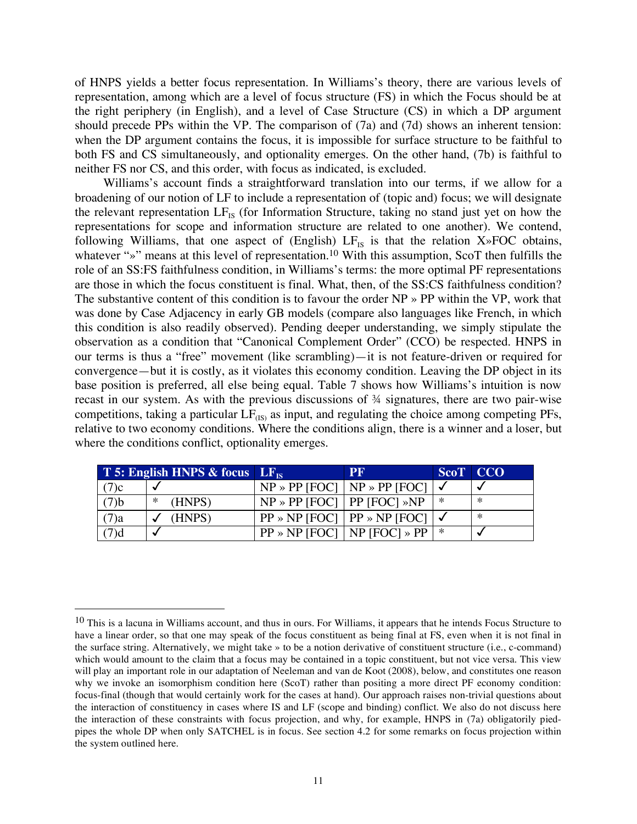of HNPS yields a better focus representation. In Williams's theory, there are various levels of representation, among which are a level of focus structure (FS) in which the Focus should be at the right periphery (in English), and a level of Case Structure (CS) in which a DP argument should precede PPs within the VP. The comparison of (7a) and (7d) shows an inherent tension: when the DP argument contains the focus, it is impossible for surface structure to be faithful to both FS and CS simultaneously, and optionality emerges. On the other hand, (7b) is faithful to neither FS nor CS, and this order, with focus as indicated, is excluded.

Williams's account finds a straightforward translation into our terms, if we allow for a broadening of our notion of LF to include a representation of (topic and) focus; we will designate the relevant representation  $LF_{IS}$  (for Information Structure, taking no stand just yet on how the representations for scope and information structure are related to one another). We contend, following Williams, that one aspect of (English)  $LF_{IS}$  is that the relation  $X \rightarrow FOC$  obtains, whatever "»" means at this level of representation.<sup>10</sup> With this assumption, ScoT then fulfills the role of an SS:FS faithfulness condition, in Williams's terms: the more optimal PF representations are those in which the focus constituent is final. What, then, of the SS:CS faithfulness condition? The substantive content of this condition is to favour the order NP » PP within the VP, work that was done by Case Adjacency in early GB models (compare also languages like French, in which this condition is also readily observed). Pending deeper understanding, we simply stipulate the observation as a condition that "Canonical Complement Order" (CCO) be respected. HNPS in our terms is thus a "free" movement (like scrambling)—it is not feature-driven or required for convergence—but it is costly, as it violates this economy condition. Leaving the DP object in its base position is preferred, all else being equal. Table 7 shows how Williams's intuition is now recast in our system. As with the previous discussions of ¾ signatures, there are two pair-wise competitions, taking a particular  $LF_{(IS)}$  as input, and regulating the choice among competing PFs, relative to two economy conditions. Where the conditions align, there is a winner and a loser, but where the conditions conflict, optionality emerges.

|         | T 5: English HNPS & focus $LF_{IS}$ |                                       | <b>PF</b>                                            | ScoT CCO |        |
|---------|-------------------------------------|---------------------------------------|------------------------------------------------------|----------|--------|
| (7)c    |                                     |                                       | $NP \gg PP$ [FOC]   NP $\gg PP$ [FOC]   $\checkmark$ |          |        |
| (7)b    | (HNPS)<br>∗                         | $NP \gg PP$ [FOC]   PP [FOC] $\gg NP$ |                                                      | *        | $\ast$ |
| $(7)$ a | (HNPS)                              |                                       | $PP \gg NP$ [FOC]   PP $\gg NP$ [FOC]   $\checkmark$ |          | $\ast$ |
| (7)d    |                                     |                                       | $PP \gg NP$ [FOC]   NP [FOC] $\gg PP$   $\ast$       |          |        |

<sup>&</sup>lt;sup>10</sup> This is a lacuna in Williams account, and thus in ours. For Williams, it appears that he intends Focus Structure to have a linear order, so that one may speak of the focus constituent as being final at FS, even when it is not final in the surface string. Alternatively, we might take » to be a notion derivative of constituent structure (i.e., c-command) which would amount to the claim that a focus may be contained in a topic constituent, but not vice versa. This view will play an important role in our adaptation of Neeleman and van de Koot (2008), below, and constitutes one reason why we invoke an isomorphism condition here (ScoT) rather than positing a more direct PF economy condition: focus-final (though that would certainly work for the cases at hand). Our approach raises non-trivial questions about the interaction of constituency in cases where IS and LF (scope and binding) conflict. We also do not discuss here the interaction of these constraints with focus projection, and why, for example, HNPS in (7a) obligatorily piedpipes the whole DP when only SATCHEL is in focus. See section 4.2 for some remarks on focus projection within the system outlined here.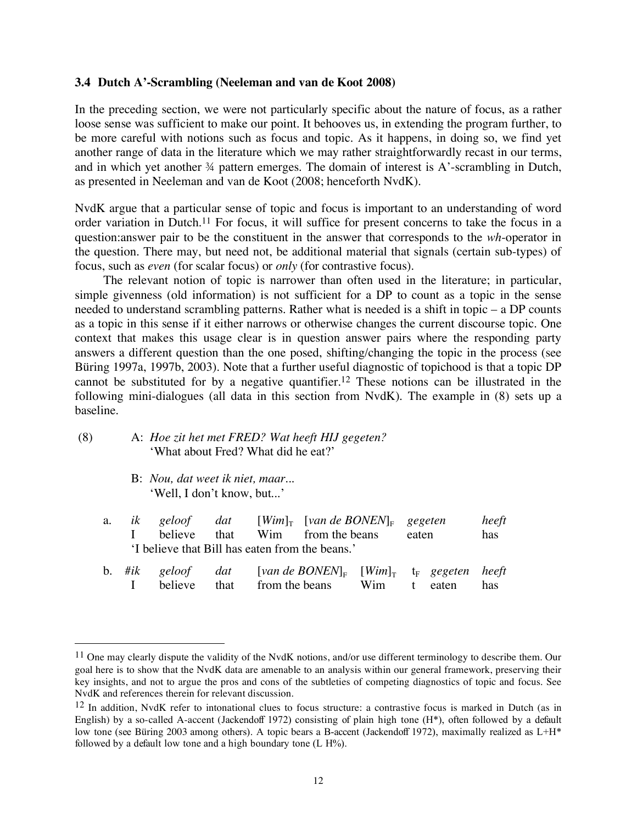## **3.4 Dutch A'-Scrambling (Neeleman and van de Koot 2008)**

In the preceding section, we were not particularly specific about the nature of focus, as a rather loose sense was sufficient to make our point. It behooves us, in extending the program further, to be more careful with notions such as focus and topic. As it happens, in doing so, we find yet another range of data in the literature which we may rather straightforwardly recast in our terms, and in which yet another  $\frac{3}{4}$  pattern emerges. The domain of interest is A'-scrambling in Dutch, as presented in Neeleman and van de Koot (2008; henceforth NvdK).

NvdK argue that a particular sense of topic and focus is important to an understanding of word order variation in Dutch.11 For focus, it will suffice for present concerns to take the focus in a question:answer pair to be the constituent in the answer that corresponds to the *wh*-operator in the question. There may, but need not, be additional material that signals (certain sub-types) of focus, such as *even* (for scalar focus) or *only* (for contrastive focus).

The relevant notion of topic is narrower than often used in the literature; in particular, simple givenness (old information) is not sufficient for a DP to count as a topic in the sense needed to understand scrambling patterns. Rather what is needed is a shift in topic – a DP counts as a topic in this sense if it either narrows or otherwise changes the current discourse topic. One context that makes this usage clear is in question answer pairs where the responding party answers a different question than the one posed, shifting/changing the topic in the process (see Büring 1997a, 1997b, 2003). Note that a further useful diagnostic of topichood is that a topic DP cannot be substituted for by a negative quantifier. <sup>12</sup> These notions can be illustrated in the following mini-dialogues (all data in this section from NvdK). The example in (8) sets up a baseline.

- (8) A: *Hoe zit het met FRED? Wat heeft HIJ gegeten?* 'What about Fred? What did he eat?'
	- B: *Nou, dat weet ik niet, maar...* 'Well, I don't know, but...'

|  | a. <i>ik geloof dat</i> |  | $[Wim]_{\text{T}}$ [van de BONEN] <sub>E</sub> gegeten |       | heeft |
|--|-------------------------|--|--------------------------------------------------------|-------|-------|
|  |                         |  | I believe that Wim from the beans                      | eaten | has   |
|  |                         |  | 'I believe that Bill has eaten from the beans.'        |       |       |
|  |                         |  | h #il coloof dat [was do DOMENI [Wind t coopten heaft  |       |       |

|  |  | b. #ik geloof dat [van de BONEN] <sub>F</sub> [Wim] <sub>T</sub> t <sub>F</sub> gegeten heeft |  |  |
|--|--|-----------------------------------------------------------------------------------------------|--|--|
|  |  | I believe that from the beans Wim t eaten has                                                 |  |  |

 $11$  One may clearly dispute the validity of the NvdK notions, and/or use different terminology to describe them. Our goal here is to show that the NvdK data are amenable to an analysis within our general framework, preserving their key insights, and not to argue the pros and cons of the subtleties of competing diagnostics of topic and focus. See NvdK and references therein for relevant discussion.

<sup>12</sup> In addition, NvdK refer to intonational clues to focus structure: a contrastive focus is marked in Dutch (as in English) by a so-called A-accent (Jackendoff 1972) consisting of plain high tone (H\*), often followed by a default low tone (see Büring 2003 among others). A topic bears a B-accent (Jackendoff 1972), maximally realized as L+H\* followed by a default low tone and a high boundary tone (L H%).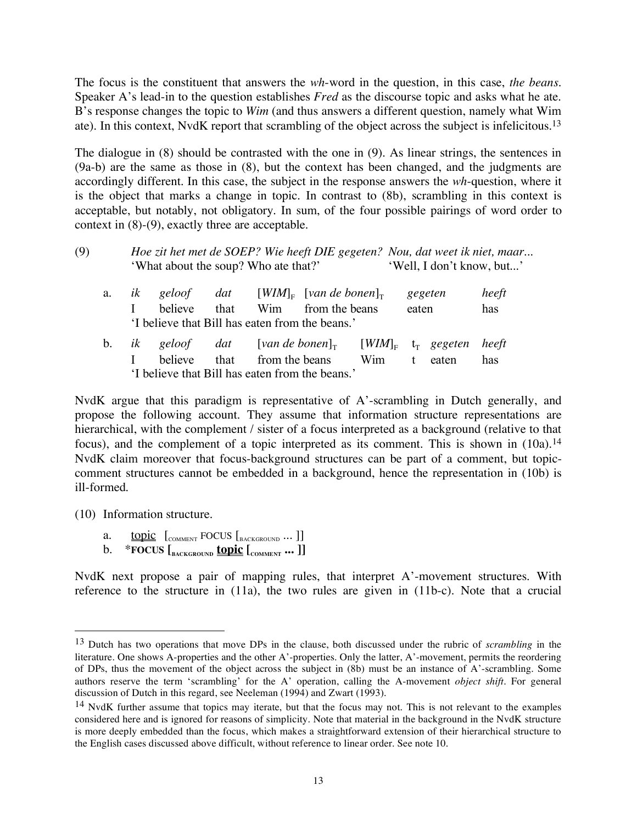The focus is the constituent that answers the *wh*-word in the question, in this case, *the beans*. Speaker A's lead-in to the question establishes *Fred* as the discourse topic and asks what he ate. B's response changes the topic to *Wim* (and thus answers a different question, namely what Wim ate). In this context, NvdK report that scrambling of the object across the subject is infelicitous.<sup>13</sup>

The dialogue in (8) should be contrasted with the one in (9). As linear strings, the sentences in (9a-b) are the same as those in (8), but the context has been changed, and the judgments are accordingly different. In this case, the subject in the response answers the *wh*-question, where it is the object that marks a change in topic. In contrast to (8b), scrambling in this context is acceptable, but notably, not obligatory. In sum, of the four possible pairings of word order to context in (8)-(9), exactly three are acceptable.

## (9) *Hoe zit het met de SOEP? Wie heeft DIE gegeten? Nou, dat weet ik niet, maar...* 'What about the soup? Who ate that?' 'Well, I don't know, but...'

| а.                                              |  | <i>ik</i> geloof dat [WIM] <sub>E</sub> [van de bonen] <sub>T</sub>                          |  |  |                                 |  |  | gegeten | heeft |
|-------------------------------------------------|--|----------------------------------------------------------------------------------------------|--|--|---------------------------------|--|--|---------|-------|
|                                                 |  | believe                                                                                      |  |  | that Wim from the beans         |  |  | eaten   |       |
|                                                 |  | 'I believe that Bill has eaten from the beans.'                                              |  |  |                                 |  |  |         |       |
|                                                 |  | b. ik geloof dat [van de bonen] <sub>T</sub> [WIM] <sub>F</sub> t <sub>r</sub> gegeten heeft |  |  |                                 |  |  |         |       |
|                                                 |  | believe                                                                                      |  |  | that from the beans Wim t eaten |  |  |         | has   |
| 'I believe that Bill has eaten from the beans.' |  |                                                                                              |  |  |                                 |  |  |         |       |

NvdK argue that this paradigm is representative of A'-scrambling in Dutch generally, and propose the following account. They assume that information structure representations are hierarchical, with the complement / sister of a focus interpreted as a background (relative to that focus), and the complement of a topic interpreted as its comment. This is shown in  $(10a)$ .<sup>14</sup> NvdK claim moreover that focus-background structures can be part of a comment, but topiccomment structures cannot be embedded in a background, hence the representation in (10b) is ill-formed.

(10) Information structure.

- a. topic  $\left[\begin{smallmatrix} 1 & 0 & 0 \\ 0 & 0 & 0 \end{smallmatrix}\right]$  to  $\left[\begin{smallmatrix} 1 & 0 & 0 \\ 0 & 0 & 0 \end{smallmatrix}\right]$  to  $\left[\begin{smallmatrix} 1 & 0 & 0 \\ 0 & 0 & 0 \end{smallmatrix}\right]$
- b. \***FOCUS [BACKGROUND topic [COMMENT ... ]]**

NvdK next propose a pair of mapping rules, that interpret A'-movement structures. With reference to the structure in (11a), the two rules are given in (11b-c). Note that a crucial

 <sup>13</sup> Dutch has two operations that move DPs in the clause, both discussed under the rubric of *scrambling* in the literature. One shows A-properties and the other A'-properties. Only the latter, A'-movement, permits the reordering of DPs, thus the movement of the object across the subject in (8b) must be an instance of A'-scrambling. Some authors reserve the term 'scrambling' for the A' operation, calling the A-movement *object shift*. For general discussion of Dutch in this regard, see Neeleman (1994) and Zwart (1993).

<sup>&</sup>lt;sup>14</sup> NvdK further assume that topics may iterate, but that the focus may not. This is not relevant to the examples considered here and is ignored for reasons of simplicity. Note that material in the background in the NvdK structure is more deeply embedded than the focus, which makes a straightforward extension of their hierarchical structure to the English cases discussed above difficult, without reference to linear order. See note 10.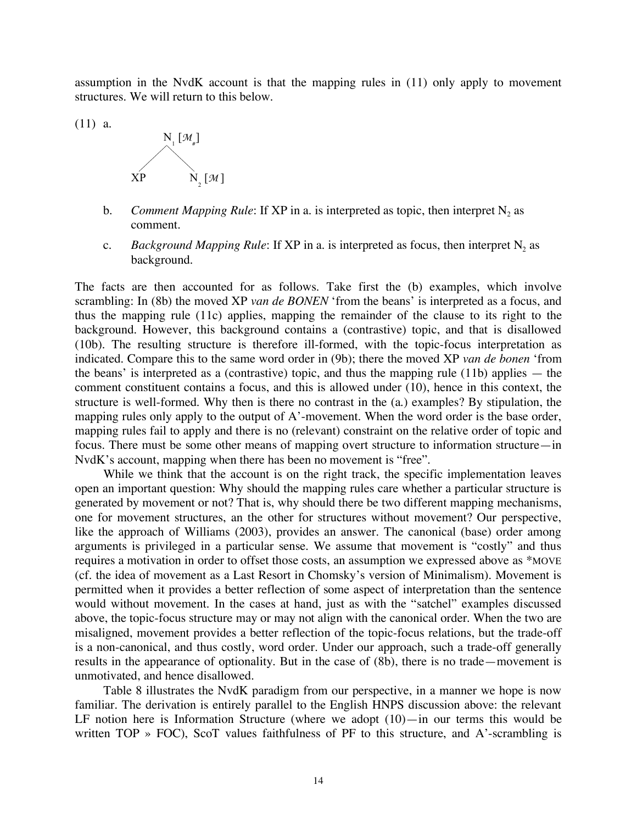assumption in the NvdK account is that the mapping rules in (11) only apply to movement structures. We will return to this below.

(11) a.



- b. *Comment Mapping Rule*: If XP in a. is interpreted as topic, then interpret N<sub>2</sub> as comment.
- c. *Background Mapping Rule*: If XP in a. is interpreted as focus, then interpret  $N_2$  as background.

The facts are then accounted for as follows. Take first the (b) examples, which involve scrambling: In (8b) the moved XP *van de BONEN* 'from the beans' is interpreted as a focus, and thus the mapping rule (11c) applies, mapping the remainder of the clause to its right to the background. However, this background contains a (contrastive) topic, and that is disallowed (10b). The resulting structure is therefore ill-formed, with the topic-focus interpretation as indicated. Compare this to the same word order in (9b); there the moved XP *van de bonen* 'from the beans' is interpreted as a (contrastive) topic, and thus the mapping rule (11b) applies  $-$  the comment constituent contains a focus, and this is allowed under (10), hence in this context, the structure is well-formed. Why then is there no contrast in the (a.) examples? By stipulation, the mapping rules only apply to the output of A'-movement. When the word order is the base order, mapping rules fail to apply and there is no (relevant) constraint on the relative order of topic and focus. There must be some other means of mapping overt structure to information structure—in NvdK's account, mapping when there has been no movement is "free".

While we think that the account is on the right track, the specific implementation leaves open an important question: Why should the mapping rules care whether a particular structure is generated by movement or not? That is, why should there be two different mapping mechanisms, one for movement structures, an the other for structures without movement? Our perspective, like the approach of Williams (2003), provides an answer. The canonical (base) order among arguments is privileged in a particular sense. We assume that movement is "costly" and thus requires a motivation in order to offset those costs, an assumption we expressed above as \*MOVE (cf. the idea of movement as a Last Resort in Chomsky's version of Minimalism). Movement is permitted when it provides a better reflection of some aspect of interpretation than the sentence would without movement. In the cases at hand, just as with the "satchel" examples discussed above, the topic-focus structure may or may not align with the canonical order. When the two are misaligned, movement provides a better reflection of the topic-focus relations, but the trade-off is a non-canonical, and thus costly, word order. Under our approach, such a trade-off generally results in the appearance of optionality. But in the case of (8b), there is no trade—movement is unmotivated, and hence disallowed.

Table 8 illustrates the NvdK paradigm from our perspective, in a manner we hope is now familiar. The derivation is entirely parallel to the English HNPS discussion above: the relevant LF notion here is Information Structure (where we adopt  $(10)$ —in our terms this would be written TOP » FOC), ScoT values faithfulness of PF to this structure, and A'-scrambling is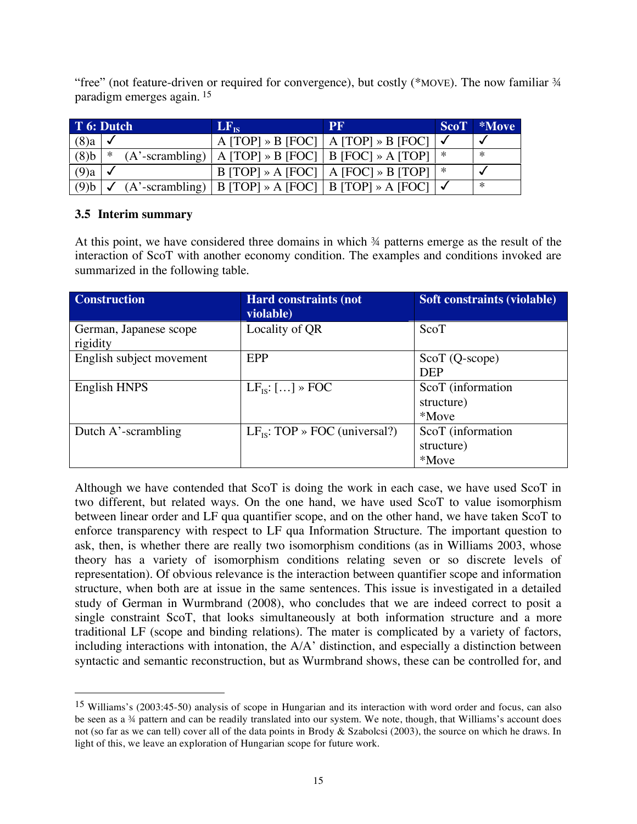"free" (not feature-driven or required for convergence), but costly (\*MOVE). The now familiar ¾ paradigm emerges again. <sup>15</sup>

| T 6: Dutch         |   | $ LF_{\text{IS}} $                                         | <b>PF</b>                                                            |   | ScoT *Move |
|--------------------|---|------------------------------------------------------------|----------------------------------------------------------------------|---|------------|
| $(8)$ a $\sqrt{ }$ |   |                                                            | A [TOP] » B [FOC]   A [TOP] » B [FOC] $\checkmark$                   |   |            |
| $(8)$ b            | * | $(A'$ -scrambling)   A [TOP] » B [FOC]   B [FOC] » A [TOP] |                                                                      | * | ∗          |
| $(9)$ a $\sqrt{ }$ |   |                                                            | $B$ [TOP] » A [FOC]   A [FOC] » B [TOP]                              |   |            |
|                    |   |                                                            | (9)b   ✓ (A'-scrambling)   B [TOP] » A [FOC]   B [TOP] » A [FOC]   ✓ |   | ∗          |

# **3.5 Interim summary**

At this point, we have considered three domains in which ¾ patterns emerge as the result of the interaction of ScoT with another economy condition. The examples and conditions invoked are summarized in the following table.

| <b>Construction</b>                | <b>Hard constraints (not</b><br>violable) | <b>Soft constraints (violable)</b>       |
|------------------------------------|-------------------------------------------|------------------------------------------|
| German, Japanese scope<br>rigidity | Locality of QR                            | ScoT                                     |
| English subject movement           | <b>EPP</b>                                | $ScoT(Q-score)$<br><b>DEP</b>            |
| English HNPS                       | $LF_{IS}:$ [] » FOC                       | ScoT (information<br>structure)<br>*Move |
| Dutch A'-scrambling                | $LF_{IS}$ : TOP » FOC (universal?)        | ScoT (information<br>structure)<br>*Move |

Although we have contended that ScoT is doing the work in each case, we have used ScoT in two different, but related ways. On the one hand, we have used ScoT to value isomorphism between linear order and LF qua quantifier scope, and on the other hand, we have taken ScoT to enforce transparency with respect to LF qua Information Structure. The important question to ask, then, is whether there are really two isomorphism conditions (as in Williams 2003, whose theory has a variety of isomorphism conditions relating seven or so discrete levels of representation). Of obvious relevance is the interaction between quantifier scope and information structure, when both are at issue in the same sentences. This issue is investigated in a detailed study of German in Wurmbrand (2008), who concludes that we are indeed correct to posit a single constraint ScoT, that looks simultaneously at both information structure and a more traditional LF (scope and binding relations). The mater is complicated by a variety of factors, including interactions with intonation, the A/A' distinction, and especially a distinction between syntactic and semantic reconstruction, but as Wurmbrand shows, these can be controlled for, and

 <sup>15</sup> Williams's (2003:45-50) analysis of scope in Hungarian and its interaction with word order and focus, can also be seen as a ¾ pattern and can be readily translated into our system. We note, though, that Williams's account does not (so far as we can tell) cover all of the data points in Brody & Szabolcsi (2003), the source on which he draws. In light of this, we leave an exploration of Hungarian scope for future work.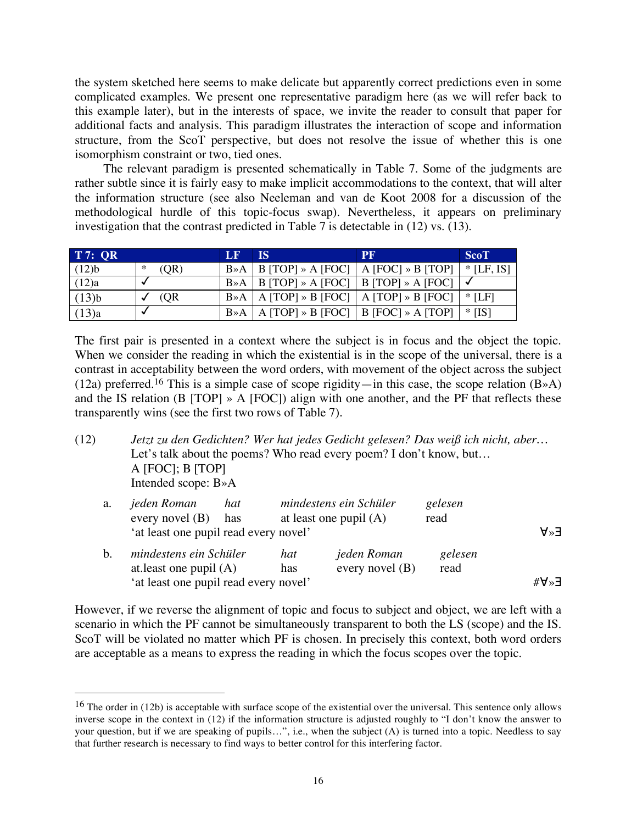the system sketched here seems to make delicate but apparently correct predictions even in some complicated examples. We present one representative paradigm here (as we will refer back to this example later), but in the interests of space, we invite the reader to consult that paper for additional facts and analysis. This paradigm illustrates the interaction of scope and information structure, from the ScoT perspective, but does not resolve the issue of whether this is one isomorphism constraint or two, tied ones.

The relevant paradigm is presented schematically in Table 7. Some of the judgments are rather subtle since it is fairly easy to make implicit accommodations to the context, that will alter the information structure (see also Neeleman and van de Koot 2008 for a discussion of the methodological hurdle of this topic-focus swap). Nevertheless, it appears on preliminary investigation that the contrast predicted in Table 7 is detectable in (12) vs. (13).

| <b>T7: OR</b> |           | LF        | <b>IS</b> | PF                                                                                                           | <b>ScoT</b> |
|---------------|-----------|-----------|-----------|--------------------------------------------------------------------------------------------------------------|-------------|
| (12)b         | (OR)<br>∗ |           |           | $B \rightarrow A \mid B$ [TOP] $\rightarrow A$ [FOC] $\mid A$ [FOC] $\rightarrow B$ [TOP] $\mid$ * [LF, IS]  |             |
| (12)a         |           |           |           | $B \rightarrow A \mid B$ [TOP] $\rightarrow A$ [FOC]   B [TOP] $\rightarrow A$ [FOC]   $\checkmark$          |             |
| (13)b         | (QR)      |           |           | $B \rightarrow A \mid A$ [TOP] $\rightarrow B$ [FOC] $\mid A$ [TOP] $\rightarrow B$ [FOC] $\mid$ $\ast$ [LF] |             |
| (13)a         |           | $B \gg A$ |           | $A$ [TOP] » B [FOC]   B [FOC] » A [TOP] $  *   IS$ ]                                                         |             |

The first pair is presented in a context where the subject is in focus and the object the topic. When we consider the reading in which the existential is in the scope of the universal, there is a contrast in acceptability between the word orders, with movement of the object across the subject (12a) preferred.<sup>16</sup> This is a simple case of scope rigidity—in this case, the scope relation  $(B \rightarrow A)$ and the IS relation (B [TOP] » A [FOC]) align with one another, and the PF that reflects these transparently wins (see the first two rows of Table 7).

(12) *Jetzt zu den Gedichten? Wer hat jedes Gedicht gelesen? Das weiß ich nicht, aber…* Let's talk about the poems? Who read every poem? I don't know, but...  $A$  [FOC]; B [TOP] Intended scope: B»A

| a. | jeden Roman<br>every novel $(B)$                   | hat<br>has | mindestens ein Schüler<br>at least one pupil $(A)$ |                                  | gelesen<br>read |              |
|----|----------------------------------------------------|------------|----------------------------------------------------|----------------------------------|-----------------|--------------|
|    | 'at least one pupil read every novel'              |            |                                                    |                                  |                 | $F \times P$ |
| b. | mindestens ein Schüler<br>at least one pupil $(A)$ |            | hat<br>has                                         | jeden Roman<br>every novel $(B)$ | gelesen<br>read |              |
|    | 'at least one pupil read every novel'              |            | ∃«∀#                                               |                                  |                 |              |

However, if we reverse the alignment of topic and focus to subject and object, we are left with a scenario in which the PF cannot be simultaneously transparent to both the LS (scope) and the IS. ScoT will be violated no matter which PF is chosen. In precisely this context, both word orders are acceptable as a means to express the reading in which the focus scopes over the topic.

 <sup>16</sup> The order in (12b) is acceptable with surface scope of the existential over the universal. This sentence only allows inverse scope in the context in (12) if the information structure is adjusted roughly to "I don't know the answer to your question, but if we are speaking of pupils…", i.e., when the subject (A) is turned into a topic. Needless to say that further research is necessary to find ways to better control for this interfering factor.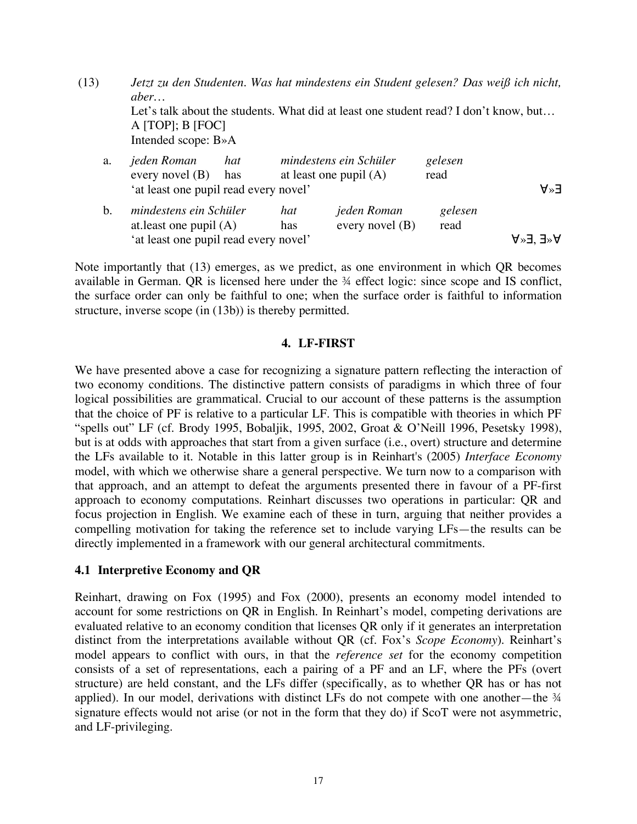(13) *Jetzt zu den Studenten. Was hat mindestens ein Student gelesen? Das weiß ich nicht, aber…* Let's talk about the students. What did at least one student read? I don't know, but... A [TOP]; B [FOC] Intended scope: B»A

| a. | jeden Roman<br>hat<br>every novel $(B)$<br>has     |            | mindestens ein Schüler<br>at least one pupil $(A)$ |                 |                      |
|----|----------------------------------------------------|------------|----------------------------------------------------|-----------------|----------------------|
|    | 'at least one pupil read every novel'              |            |                                                    |                 | A≫∃                  |
| b. | mindestens ein Schüler<br>at least one pupil $(A)$ | hat<br>has | jeden Roman<br>every novel $(B)$                   | gelesen<br>read |                      |
|    | 'at least one pupil read every novel'              |            |                                                    |                 | $A^*E'$ $\exists^*A$ |

Note importantly that (13) emerges, as we predict, as one environment in which QR becomes available in German. QR is licensed here under the ¾ effect logic: since scope and IS conflict, the surface order can only be faithful to one; when the surface order is faithful to information structure, inverse scope (in (13b)) is thereby permitted.

# **4. LF-FIRST**

We have presented above a case for recognizing a signature pattern reflecting the interaction of two economy conditions. The distinctive pattern consists of paradigms in which three of four logical possibilities are grammatical. Crucial to our account of these patterns is the assumption that the choice of PF is relative to a particular LF. This is compatible with theories in which PF "spells out" LF (cf. Brody 1995, Bobaljik, 1995, 2002, Groat & O'Neill 1996, Pesetsky 1998), but is at odds with approaches that start from a given surface (i.e., overt) structure and determine the LFs available to it. Notable in this latter group is in Reinhart's (2005) *Interface Economy* model, with which we otherwise share a general perspective. We turn now to a comparison with that approach, and an attempt to defeat the arguments presented there in favour of a PF-first approach to economy computations. Reinhart discusses two operations in particular: QR and focus projection in English. We examine each of these in turn, arguing that neither provides a compelling motivation for taking the reference set to include varying LFs—the results can be directly implemented in a framework with our general architectural commitments.

# **4.1 Interpretive Economy and QR**

Reinhart, drawing on Fox (1995) and Fox (2000), presents an economy model intended to account for some restrictions on QR in English. In Reinhart's model, competing derivations are evaluated relative to an economy condition that licenses QR only if it generates an interpretation distinct from the interpretations available without QR (cf. Fox's *Scope Economy*). Reinhart's model appears to conflict with ours, in that the *reference set* for the economy competition consists of a set of representations, each a pairing of a PF and an LF, where the PFs (overt structure) are held constant, and the LFs differ (specifically, as to whether QR has or has not applied). In our model, derivations with distinct LFs do not compete with one another—the  $\frac{3}{4}$ signature effects would not arise (or not in the form that they do) if ScoT were not asymmetric, and LF-privileging.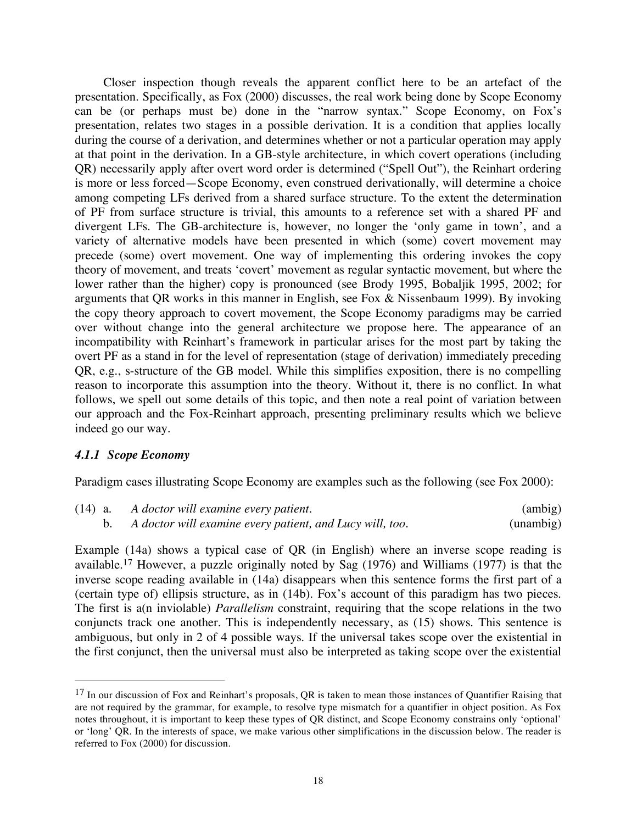Closer inspection though reveals the apparent conflict here to be an artefact of the presentation. Specifically, as Fox (2000) discusses, the real work being done by Scope Economy can be (or perhaps must be) done in the "narrow syntax." Scope Economy, on Fox's presentation, relates two stages in a possible derivation. It is a condition that applies locally during the course of a derivation, and determines whether or not a particular operation may apply at that point in the derivation. In a GB-style architecture, in which covert operations (including QR) necessarily apply after overt word order is determined ("Spell Out"), the Reinhart ordering is more or less forced—Scope Economy, even construed derivationally, will determine a choice among competing LFs derived from a shared surface structure. To the extent the determination of PF from surface structure is trivial, this amounts to a reference set with a shared PF and divergent LFs. The GB-architecture is, however, no longer the 'only game in town', and a variety of alternative models have been presented in which (some) covert movement may precede (some) overt movement. One way of implementing this ordering invokes the copy theory of movement, and treats 'covert' movement as regular syntactic movement, but where the lower rather than the higher) copy is pronounced (see Brody 1995, Bobaljik 1995, 2002; for arguments that QR works in this manner in English, see Fox & Nissenbaum 1999). By invoking the copy theory approach to covert movement, the Scope Economy paradigms may be carried over without change into the general architecture we propose here. The appearance of an incompatibility with Reinhart's framework in particular arises for the most part by taking the overt PF as a stand in for the level of representation (stage of derivation) immediately preceding QR, e.g., s-structure of the GB model. While this simplifies exposition, there is no compelling reason to incorporate this assumption into the theory. Without it, there is no conflict. In what follows, we spell out some details of this topic, and then note a real point of variation between our approach and the Fox-Reinhart approach, presenting preliminary results which we believe indeed go our way.

### *4.1.1 Scope Economy*

Paradigm cases illustrating Scope Economy are examples such as the following (see Fox 2000):

| $(14)$ a. | A doctor will examine every patient.                     | (ambig)   |
|-----------|----------------------------------------------------------|-----------|
|           | A doctor will examine every patient, and Lucy will, too. | (unambig) |

Example (14a) shows a typical case of QR (in English) where an inverse scope reading is available. <sup>17</sup> However, a puzzle originally noted by Sag (1976) and Williams (1977) is that the inverse scope reading available in (14a) disappears when this sentence forms the first part of a (certain type of) ellipsis structure, as in (14b). Fox's account of this paradigm has two pieces. The first is a(n inviolable) *Parallelism* constraint, requiring that the scope relations in the two conjuncts track one another. This is independently necessary, as (15) shows. This sentence is ambiguous, but only in 2 of 4 possible ways. If the universal takes scope over the existential in the first conjunct, then the universal must also be interpreted as taking scope over the existential

<sup>&</sup>lt;sup>17</sup> In our discussion of Fox and Reinhart's proposals, QR is taken to mean those instances of Quantifier Raising that are not required by the grammar, for example, to resolve type mismatch for a quantifier in object position. As Fox notes throughout, it is important to keep these types of QR distinct, and Scope Economy constrains only 'optional' or 'long' QR. In the interests of space, we make various other simplifications in the discussion below. The reader is referred to Fox (2000) for discussion.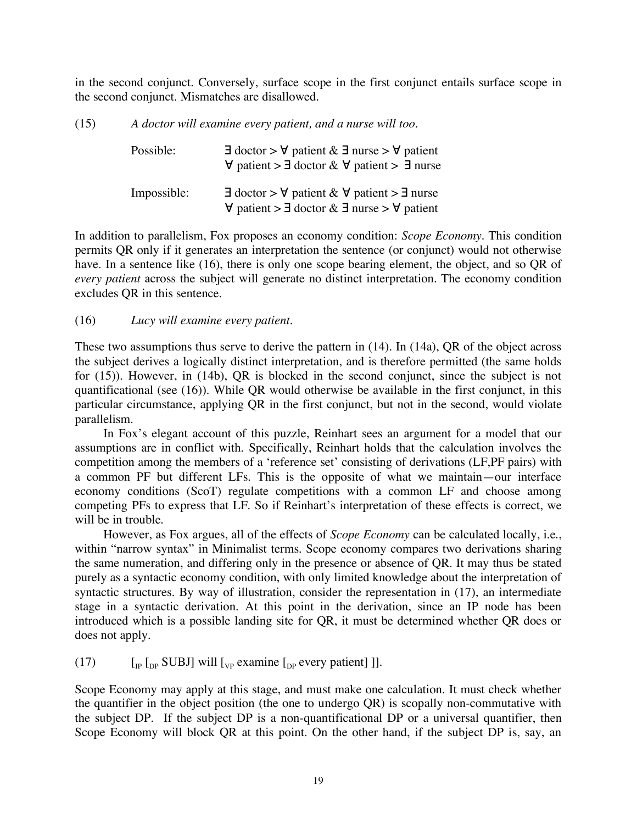in the second conjunct. Conversely, surface scope in the first conjunct entails surface scope in the second conjunct. Mismatches are disallowed.

(15) *A doctor will examine every patient, and a nurse will too.*

| Possible:   | $\exists$ doctor > $\forall$ patient & $\exists$ nurse > $\forall$ patient<br>$\forall$ patient > $\exists$ doctor & $\forall$ patient > $\exists$ nurse |
|-------------|----------------------------------------------------------------------------------------------------------------------------------------------------------|
| Impossible: | $\exists$ doctor > $\forall$ patient & $\forall$ patient > $\exists$ nurse<br>$\forall$ patient > $\exists$ doctor & $\exists$ nurse > $\forall$ patient |

In addition to parallelism, Fox proposes an economy condition: *Scope Economy*. This condition permits QR only if it generates an interpretation the sentence (or conjunct) would not otherwise have. In a sentence like (16), there is only one scope bearing element, the object, and so QR of *every patient* across the subject will generate no distinct interpretation. The economy condition excludes QR in this sentence.

(16) *Lucy will examine every patient.*

These two assumptions thus serve to derive the pattern in (14). In (14a), QR of the object across the subject derives a logically distinct interpretation, and is therefore permitted (the same holds for (15)). However, in (14b), QR is blocked in the second conjunct, since the subject is not quantificational (see (16)). While QR would otherwise be available in the first conjunct, in this particular circumstance, applying QR in the first conjunct, but not in the second, would violate parallelism.

In Fox's elegant account of this puzzle, Reinhart sees an argument for a model that our assumptions are in conflict with. Specifically, Reinhart holds that the calculation involves the competition among the members of a 'reference set' consisting of derivations (LF,PF pairs) with a common PF but different LFs. This is the opposite of what we maintain—our interface economy conditions (ScoT) regulate competitions with a common LF and choose among competing PFs to express that LF. So if Reinhart's interpretation of these effects is correct, we will be in trouble.

However, as Fox argues, all of the effects of *Scope Economy* can be calculated locally, i.e., within "narrow syntax" in Minimalist terms. Scope economy compares two derivations sharing the same numeration, and differing only in the presence or absence of QR. It may thus be stated purely as a syntactic economy condition, with only limited knowledge about the interpretation of syntactic structures. By way of illustration, consider the representation in (17), an intermediate stage in a syntactic derivation. At this point in the derivation, since an IP node has been introduced which is a possible landing site for QR, it must be determined whether QR does or does not apply.

(17)  $\left[\begin{matrix}I_{\text{IP}} & I_{\text{DP}} & \text{SUBJ}\end{matrix}\right]$  will  $\left[\begin{matrix}I_{\text{VP}} & \text{examine}\end{matrix}\right]$  every patient  $\left[\begin{matrix}I_{\text{IP}} & I_{\text{NP}}\end{matrix}\right]$ .

Scope Economy may apply at this stage, and must make one calculation. It must check whether the quantifier in the object position (the one to undergo QR) is scopally non-commutative with the subject DP. If the subject DP is a non-quantificational DP or a universal quantifier, then Scope Economy will block QR at this point. On the other hand, if the subject DP is, say, an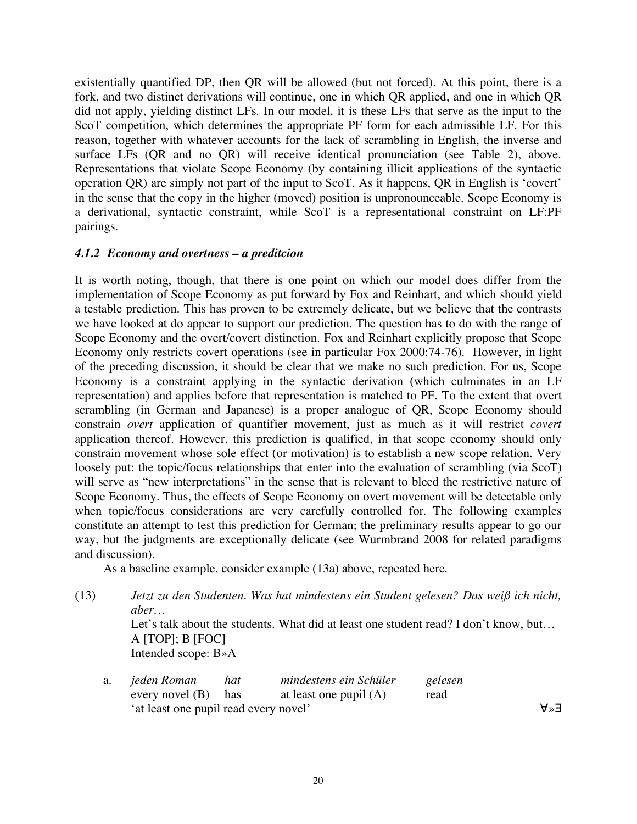existentially quantified DP, then QR will be allowed (but not forced). At this point, there is a fork, and two distinct derivations will continue, one in which QR applied, and one in which QR did not apply, yielding distinct LFs. In our model, it is these LFs that serve as the input to the ScoT competition, which determines the appropriate PF form for each admissible LF. For this reason, together with whatever accounts for the lack of scrambling in English, the inverse and surface LFs (QR and no QR) will receive identical pronunciation (see Table 2), above. Representations that violate Scope Economy (by containing illicit applications of the syntactic operation QR) are simply not part of the input to ScoT. As it happens, QR in English is 'covert' in the sense that the copy in the higher (moved) position is unpronounceable. Scope Economy is a derivational, syntactic constraint, while ScoT is a representational constraint on LF:PF pairings.

## *4.1.2 Economy and overtness – a preditcion*

It is worth noting, though, that there is one point on which our model does differ from the implementation of Scope Economy as put forward by Fox and Reinhart, and which should yield a testable prediction. This has proven to be extremely delicate, but we believe that the contrasts we have looked at do appear to support our prediction. The question has to do with the range of Scope Economy and the overt/covert distinction. Fox and Reinhart explicitly propose that Scope Economy only restricts covert operations (see in particular Fox 2000:74-76). However, in light of the preceding discussion, it should be clear that we make no such prediction. For us, Scope Economy is a constraint applying in the syntactic derivation (which culminates in an LF representation) and applies before that representation is matched to PF. To the extent that overt scrambling (in German and Japanese) is a proper analogue of QR, Scope Economy should constrain *overt* application of quantifier movement, just as much as it will restrict *covert* application thereof. However, this prediction is qualified, in that scope economy should only constrain movement whose sole effect (or motivation) is to establish a new scope relation. Very loosely put: the topic/focus relationships that enter into the evaluation of scrambling (via ScoT) will serve as "new interpretations" in the sense that is relevant to bleed the restrictive nature of Scope Economy. Thus, the effects of Scope Economy on overt movement will be detectable only when topic/focus considerations are very carefully controlled for. The following examples constitute an attempt to test this prediction for German; the preliminary results appear to go our way, but the judgments are exceptionally delicate (see Wurmbrand 2008 for related paradigms and discussion).

As a baseline example, consider example (13a) above, repeated here.

(13) *Jetzt zu den Studenten. Was hat mindestens ein Student gelesen? Das weiß ich nicht, aber…* Let's talk about the students. What did at least one student read? I don't know, but... A [TOP]; B [FOC] Intended scope: B»A

| a. <i>jeden Roman</i>                 | hat | mindestens ein Schüler   | gelesen |  |  |
|---------------------------------------|-----|--------------------------|---------|--|--|
| every novel $(B)$ has                 |     | at least one pupil $(A)$ | read    |  |  |
| 'at least one pupil read every novel' |     |                          |         |  |  |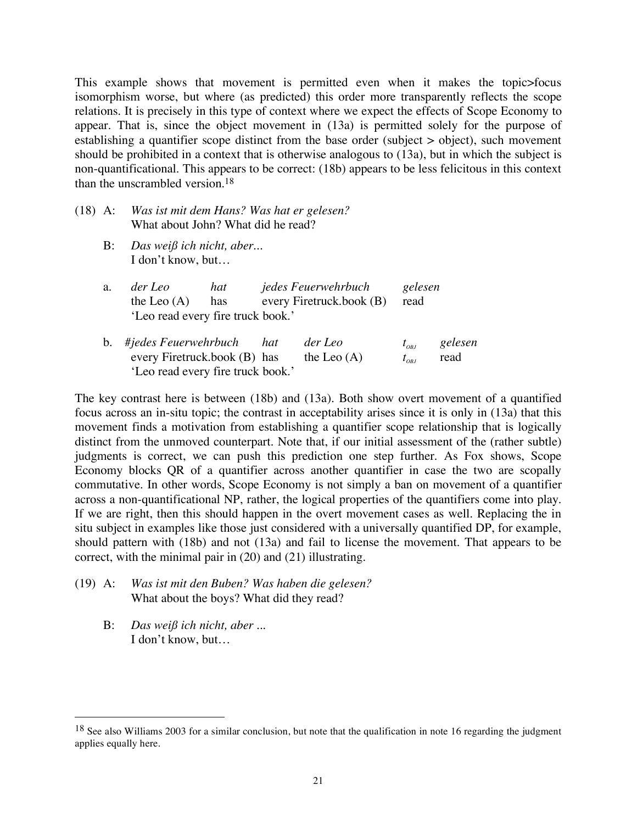This example shows that movement is permitted even when it makes the topic>focus isomorphism worse, but where (as predicted) this order more transparently reflects the scope relations. It is precisely in this type of context where we expect the effects of Scope Economy to appear. That is, since the object movement in (13a) is permitted solely for the purpose of establishing a quantifier scope distinct from the base order (subject > object), such movement should be prohibited in a context that is otherwise analogous to (13a), but in which the subject is non-quantificational. This appears to be correct: (18b) appears to be less felicitous in this context than the unscrambled version.18

| (18) A: Was ist mit dem Hans? Was hat er gelesen? |
|---------------------------------------------------|
| What about John? What did he read?                |

B: *Das weiß ich nicht, aber...* I don't know, but…

| a. | der Leo                           | hat | jedes Feuerwehrbuch      | gelesen |  |
|----|-----------------------------------|-----|--------------------------|---------|--|
|    | the Leo $(A)$                     | has | every Firetruck.book (B) | read    |  |
|    | 'Leo read every fire truck book.' |     |                          |         |  |
|    |                                   |     |                          |         |  |

b. #jedes Feuerwehrbuch hat der Leo  $t_{\text{obs}}$  gelesen every Firetruck.book (B) has the Leo (A)  $t_{on}$  read 'Leo read every fire truck book.'

The key contrast here is between (18b) and (13a). Both show overt movement of a quantified focus across an in-situ topic; the contrast in acceptability arises since it is only in (13a) that this movement finds a motivation from establishing a quantifier scope relationship that is logically distinct from the unmoved counterpart. Note that, if our initial assessment of the (rather subtle) judgments is correct, we can push this prediction one step further. As Fox shows, Scope Economy blocks QR of a quantifier across another quantifier in case the two are scopally commutative. In other words, Scope Economy is not simply a ban on movement of a quantifier across a non-quantificational NP, rather, the logical properties of the quantifiers come into play. If we are right, then this should happen in the overt movement cases as well. Replacing the in situ subject in examples like those just considered with a universally quantified DP, for example, should pattern with (18b) and not (13a) and fail to license the movement. That appears to be correct, with the minimal pair in (20) and (21) illustrating.

- (19) A: *Was ist mit den Buben? Was haben die gelesen?* What about the boys? What did they read?
	- B: *Das weiß ich nicht, aber ...* I don't know, but…

 $18$  See also Williams 2003 for a similar conclusion, but note that the qualification in note 16 regarding the judgment applies equally here.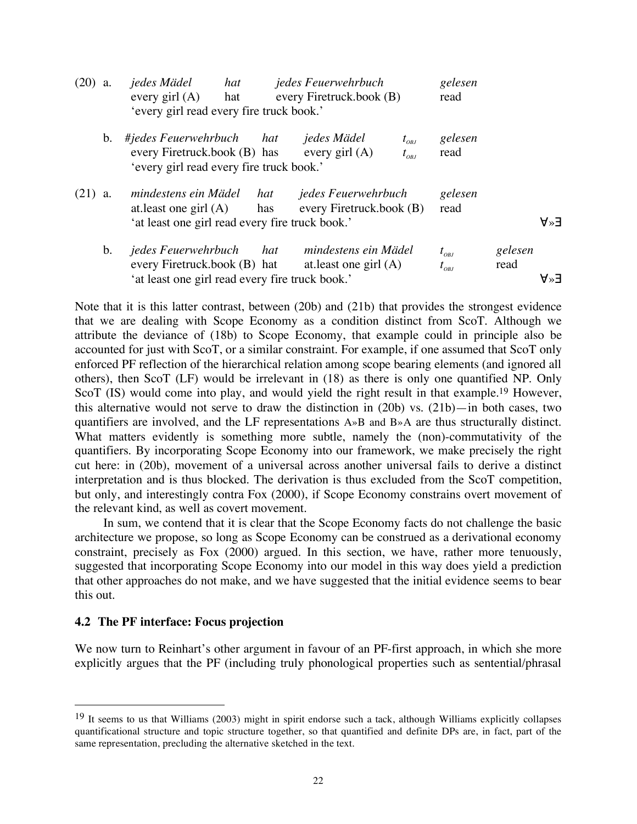| $(20)$ a. |                | jedes Mädel<br>every girl $(A)$                                                                               | hat<br>hat |            | jedes Feuerwehrbuch<br>every Firetruck.book (B) |                              | gelesen<br>read                  |                 |        |
|-----------|----------------|---------------------------------------------------------------------------------------------------------------|------------|------------|-------------------------------------------------|------------------------------|----------------------------------|-----------------|--------|
|           |                | 'every girl read every fire truck book.'                                                                      |            |            |                                                 |                              |                                  |                 |        |
|           | $\mathbf{b}$ . | #jedes Feuerwehrbuch<br>every Firetruck.book (B) has<br>'every girl read every fire truck book.'              |            | hat        | jedes Mädel<br>every girl $(A)$                 | $t_{_{OBJ}}$<br>$t_{_{OBI}}$ | gelesen<br>read                  |                 |        |
| $(21)$ a. |                | mindestens ein Mädel<br>at least one girl $(A)$<br>'at least one girl read every fire truck book.'            |            | hat<br>has | jedes Feuerwehrbuch<br>every Firetruck.book (B) |                              | gelesen<br>read                  |                 | $A^*A$ |
|           | $\mathbf{b}$ . | <i>jedes Feuerwehrbuch</i><br>every Firetruck.book (B) hat<br>'at least one girl read every fire truck book.' |            | hat        | mindestens ein Mädel<br>at least one girl $(A)$ |                              | $t_{_{OBI}}$<br>$t_{_{O\!B\!J}}$ | gelesen<br>read | A≫∃    |

Note that it is this latter contrast, between (20b) and (21b) that provides the strongest evidence that we are dealing with Scope Economy as a condition distinct from ScoT. Although we attribute the deviance of (18b) to Scope Economy, that example could in principle also be accounted for just with ScoT, or a similar constraint. For example, if one assumed that ScoT only enforced PF reflection of the hierarchical relation among scope bearing elements (and ignored all others), then ScoT (LF) would be irrelevant in (18) as there is only one quantified NP. Only ScoT (IS) would come into play, and would yield the right result in that example.<sup>19</sup> However, this alternative would not serve to draw the distinction in (20b) vs. (21b)—in both cases, two quantifiers are involved, and the LF representations A»B and B»A are thus structurally distinct. What matters evidently is something more subtle, namely the (non)-commutativity of the quantifiers. By incorporating Scope Economy into our framework, we make precisely the right cut here: in (20b), movement of a universal across another universal fails to derive a distinct interpretation and is thus blocked. The derivation is thus excluded from the ScoT competition, but only, and interestingly contra Fox (2000), if Scope Economy constrains overt movement of the relevant kind, as well as covert movement.

In sum, we contend that it is clear that the Scope Economy facts do not challenge the basic architecture we propose, so long as Scope Economy can be construed as a derivational economy constraint, precisely as Fox (2000) argued. In this section, we have, rather more tenuously, suggested that incorporating Scope Economy into our model in this way does yield a prediction that other approaches do not make, and we have suggested that the initial evidence seems to bear this out.

#### **4.2 The PF interface: Focus projection**

We now turn to Reinhart's other argument in favour of an PF-first approach, in which she more explicitly argues that the PF (including truly phonological properties such as sentential/phrasal

 <sup>19</sup> It seems to us that Williams (2003) might in spirit endorse such <sup>a</sup> tack, although Williams explicitly collapses quantificational structure and topic structure together, so that quantified and definite DPs are, in fact, part of the same representation, precluding the alternative sketched in the text.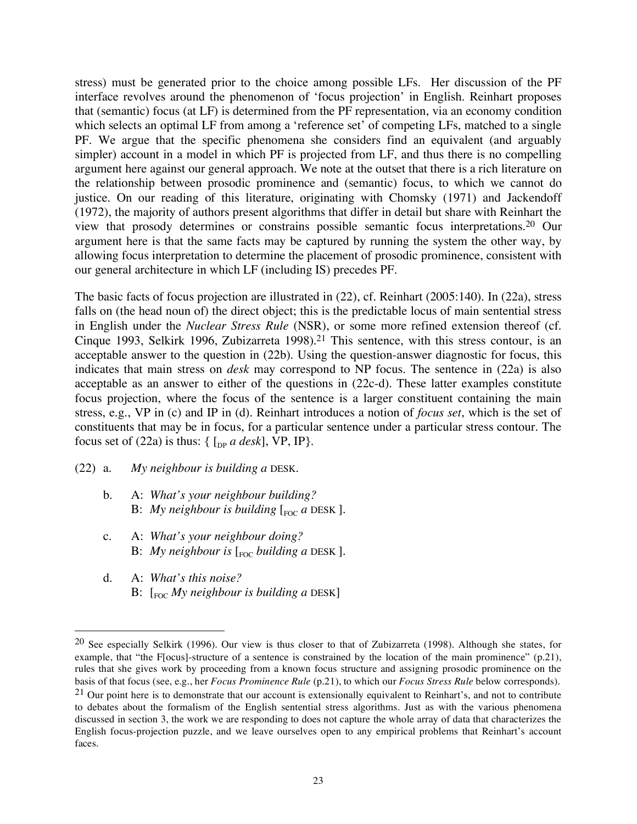stress) must be generated prior to the choice among possible LFs. Her discussion of the PF interface revolves around the phenomenon of 'focus projection' in English. Reinhart proposes that (semantic) focus (at LF) is determined from the PF representation, via an economy condition which selects an optimal LF from among a 'reference set' of competing LFs, matched to a single PF. We argue that the specific phenomena she considers find an equivalent (and arguably simpler) account in a model in which PF is projected from LF, and thus there is no compelling argument here against our general approach. We note at the outset that there is a rich literature on the relationship between prosodic prominence and (semantic) focus, to which we cannot do justice. On our reading of this literature, originating with Chomsky (1971) and Jackendoff (1972), the majority of authors present algorithms that differ in detail but share with Reinhart the view that prosody determines or constrains possible semantic focus interpretations. <sup>20</sup> Our argument here is that the same facts may be captured by running the system the other way, by allowing focus interpretation to determine the placement of prosodic prominence, consistent with our general architecture in which LF (including IS) precedes PF.

The basic facts of focus projection are illustrated in (22), cf. Reinhart (2005:140). In (22a), stress falls on (the head noun of) the direct object; this is the predictable locus of main sentential stress in English under the *Nuclear Stress Rule* (NSR), or some more refined extension thereof (cf. Cinque 1993, Selkirk 1996, Zubizarreta 1998). <sup>21</sup> This sentence, with this stress contour, is an acceptable answer to the question in (22b). Using the question-answer diagnostic for focus, this indicates that main stress on *desk* may correspond to NP focus. The sentence in (22a) is also acceptable as an answer to either of the questions in (22c-d). These latter examples constitute focus projection, where the focus of the sentence is a larger constituent containing the main stress, e.g., VP in (c) and IP in (d). Reinhart introduces a notion of *focus set*, which is the set of constituents that may be in focus, for a particular sentence under a particular stress contour. The focus set of (22a) is thus:  $\{ \int_{DP} a \, desk \}$ , VP, IP $\}$ .

### (22) a. *My neighbour is building a* DESK.

- b. A: *What's your neighbour building?* B: *My* neighbour is building  $\lceil_{\text{FOC}} a \text{ DESK} \rceil$ .
- c. A: *What's your neighbour doing?* B: *My neighbour is*  $\lceil_{\text{EOC}}$  *building a DESK* ].
- d. A: *What's this noise?*  B: [FOC *My neighbour is building a* DESK]

 <sup>20</sup> See especially Selkirk (1996). Our view is thus closer to that of Zubizarreta (1998). Although she states, for example, that "the F[ocus]-structure of a sentence is constrained by the location of the main prominence" (p.21), rules that she gives work by proceeding from a known focus structure and assigning prosodic prominence on the basis of that focus (see, e.g., her *Focus Prominence Rule* (p.21), to which our *Focus Stress Rule* below corresponds).

 $21$  Our point here is to demonstrate that our account is extensionally equivalent to Reinhart's, and not to contribute to debates about the formalism of the English sentential stress algorithms. Just as with the various phenomena discussed in section 3, the work we are responding to does not capture the whole array of data that characterizes the English focus-projection puzzle, and we leave ourselves open to any empirical problems that Reinhart's account faces.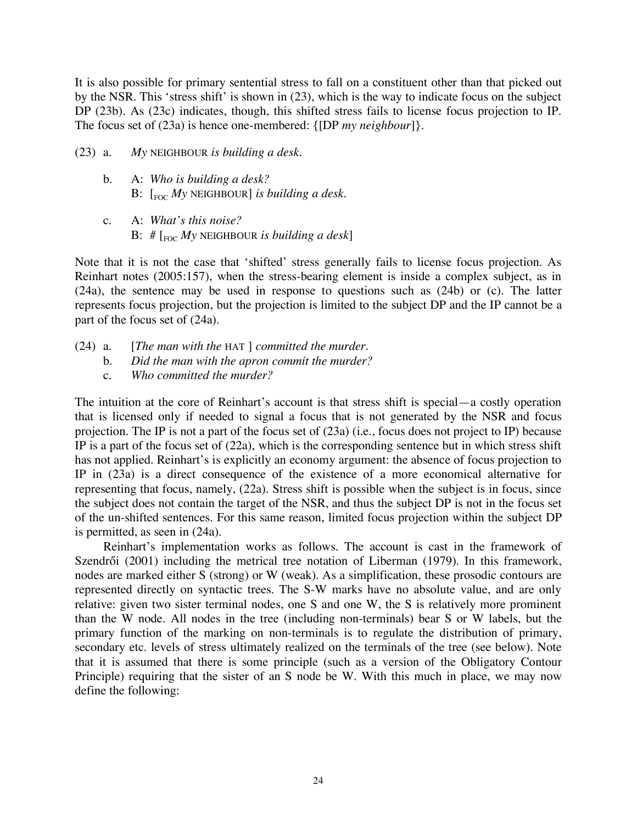It is also possible for primary sentential stress to fall on a constituent other than that picked out by the NSR. This 'stress shift' is shown in (23), which is the way to indicate focus on the subject DP (23b). As (23c) indicates, though, this shifted stress fails to license focus projection to IP. The focus set of (23a) is hence one-membered: {[DP *my neighbour*]}.

- (23) a. *My* NEIGHBOUR *is building a desk.*
	- b. A: *Who is building a desk?* B: [FOC *My* NEIGHBOUR] *is building a desk.*
	- c. A: *What's this noise?*  B: # [FOC *My* NEIGHBOUR *is building a desk*]

Note that it is not the case that 'shifted' stress generally fails to license focus projection. As Reinhart notes (2005:157), when the stress-bearing element is inside a complex subject, as in (24a), the sentence may be used in response to questions such as (24b) or (c). The latter represents focus projection, but the projection is limited to the subject DP and the IP cannot be a part of the focus set of (24a).

- (24) a. [*The man with the* HAT ] *committed the murder.*
	- b. *Did the man with the apron commit the murder?*
	- c. *Who committed the murder?*

The intuition at the core of Reinhart's account is that stress shift is special—a costly operation that is licensed only if needed to signal a focus that is not generated by the NSR and focus projection. The IP is not a part of the focus set of (23a) (i.e., focus does not project to IP) because IP is a part of the focus set of (22a), which is the corresponding sentence but in which stress shift has not applied. Reinhart's is explicitly an economy argument: the absence of focus projection to IP in (23a) is a direct consequence of the existence of a more economical alternative for representing that focus, namely, (22a). Stress shift is possible when the subject is in focus, since the subject does not contain the target of the NSR, and thus the subject DP is not in the focus set of the un-shifted sentences. For this same reason, limited focus projection within the subject DP is permitted, as seen in (24a).

Reinhart's implementation works as follows. The account is cast in the framework of Szendrői (2001) including the metrical tree notation of Liberman (1979). In this framework, nodes are marked either S (strong) or W (weak). As a simplification, these prosodic contours are represented directly on syntactic trees. The S-W marks have no absolute value, and are only relative: given two sister terminal nodes, one S and one W, the S is relatively more prominent than the W node. All nodes in the tree (including non-terminals) bear S or W labels, but the primary function of the marking on non-terminals is to regulate the distribution of primary, secondary etc. levels of stress ultimately realized on the terminals of the tree (see below). Note that it is assumed that there is some principle (such as a version of the Obligatory Contour Principle) requiring that the sister of an S node be W. With this much in place, we may now define the following: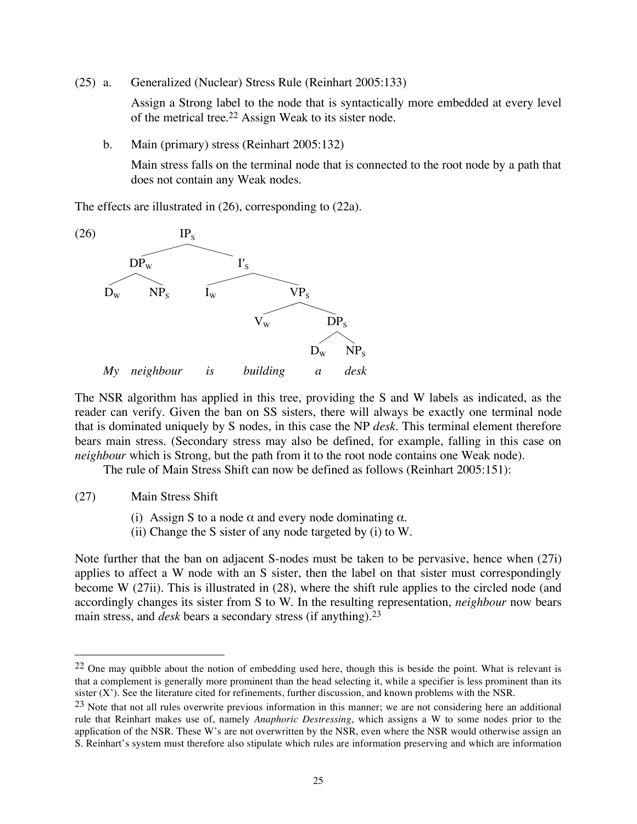(25) a. Generalized (Nuclear) Stress Rule (Reinhart 2005:133)

Assign a Strong label to the node that is syntactically more embedded at every level of the metrical tree. <sup>22</sup> Assign Weak to its sister node.

b. Main (primary) stress (Reinhart 2005:132)

Main stress falls on the terminal node that is connected to the root node by a path that does not contain any Weak nodes.

The effects are illustrated in (26), corresponding to (22a).



The NSR algorithm has applied in this tree, providing the S and W labels as indicated, as the reader can verify. Given the ban on SS sisters, there will always be exactly one terminal node that is dominated uniquely by S nodes, in this case the NP *desk*. This terminal element therefore bears main stress. (Secondary stress may also be defined, for example, falling in this case on *neighbour* which is Strong, but the path from it to the root node contains one Weak node).

The rule of Main Stress Shift can now be defined as follows (Reinhart 2005:151):

- (27) Main Stress Shift
	- (i) Assign S to a node  $\alpha$  and every node dominating  $\alpha$ .
	- (ii) Change the S sister of any node targeted by (i) to W.

Note further that the ban on adjacent S-nodes must be taken to be pervasive, hence when (27i) applies to affect a W node with an S sister, then the label on that sister must correspondingly become W (27ii). This is illustrated in (28), where the shift rule applies to the circled node (and accordingly changes its sister from S to W. In the resulting representation, *neighbour* now bears main stress, and *desk* bears a secondary stress (if anything). 23

<sup>&</sup>lt;sup>22</sup> One may quibble about the notion of embedding used here, though this is beside the point. What is relevant is that a complement is generally more prominent than the head selecting it, while a specifier is less prominent than its sister (X'). See the literature cited for refinements, further discussion, and known problems with the NSR.

 $23$  Note that not all rules overwrite previous information in this manner; we are not considering here an additional rule that Reinhart makes use of, namely *Anaphoric Destressing*, which assigns a W to some nodes prior to the application of the NSR. These W's are not overwritten by the NSR, even where the NSR would otherwise assign an S. Reinhart's system must therefore also stipulate which rules are information preserving and which are information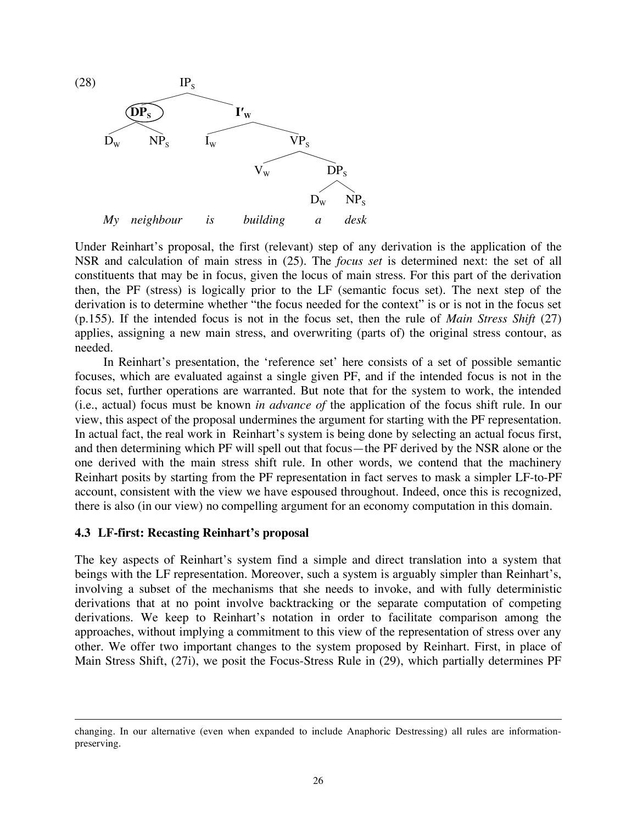

Under Reinhart's proposal, the first (relevant) step of any derivation is the application of the NSR and calculation of main stress in (25). The *focus set* is determined next: the set of all constituents that may be in focus, given the locus of main stress. For this part of the derivation then, the PF (stress) is logically prior to the LF (semantic focus set). The next step of the derivation is to determine whether "the focus needed for the context" is or is not in the focus set (p.155). If the intended focus is not in the focus set, then the rule of *Main Stress Shift* (27) applies, assigning a new main stress, and overwriting (parts of) the original stress contour, as needed.

In Reinhart's presentation, the 'reference set' here consists of a set of possible semantic focuses, which are evaluated against a single given PF, and if the intended focus is not in the focus set, further operations are warranted. But note that for the system to work, the intended (i.e., actual) focus must be known *in advance of* the application of the focus shift rule. In our view, this aspect of the proposal undermines the argument for starting with the PF representation. In actual fact, the real work in Reinhart's system is being done by selecting an actual focus first, and then determining which PF will spell out that focus—the PF derived by the NSR alone or the one derived with the main stress shift rule. In other words, we contend that the machinery Reinhart posits by starting from the PF representation in fact serves to mask a simpler LF-to-PF account, consistent with the view we have espoused throughout. Indeed, once this is recognized, there is also (in our view) no compelling argument for an economy computation in this domain.

### **4.3 LF-first: Recasting Reinhart's proposal**

 $\overline{a}$ 

The key aspects of Reinhart's system find a simple and direct translation into a system that beings with the LF representation. Moreover, such a system is arguably simpler than Reinhart's, involving a subset of the mechanisms that she needs to invoke, and with fully deterministic derivations that at no point involve backtracking or the separate computation of competing derivations. We keep to Reinhart's notation in order to facilitate comparison among the approaches, without implying a commitment to this view of the representation of stress over any other. We offer two important changes to the system proposed by Reinhart. First, in place of Main Stress Shift, (27i), we posit the Focus-Stress Rule in (29), which partially determines PF

changing. In our alternative (even when expanded to include Anaphoric Destressing) all rules are informationpreserving.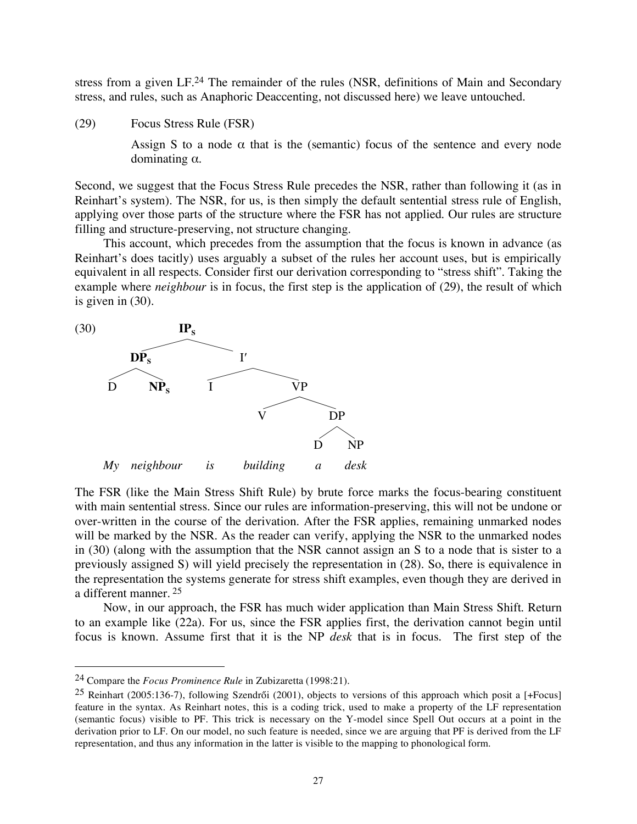stress from a given LF.<sup>24</sup> The remainder of the rules (NSR, definitions of Main and Secondary stress, and rules, such as Anaphoric Deaccenting, not discussed here) we leave untouched.

(29) Focus Stress Rule (FSR)

Assign S to a node  $\alpha$  that is the (semantic) focus of the sentence and every node dominating α.

Second, we suggest that the Focus Stress Rule precedes the NSR, rather than following it (as in Reinhart's system). The NSR, for us, is then simply the default sentential stress rule of English, applying over those parts of the structure where the FSR has not applied. Our rules are structure filling and structure-preserving, not structure changing.

This account, which precedes from the assumption that the focus is known in advance (as Reinhart's does tacitly) uses arguably a subset of the rules her account uses, but is empirically equivalent in all respects. Consider first our derivation corresponding to "stress shift". Taking the example where *neighbour* is in focus, the first step is the application of (29), the result of which is given in (30).



The FSR (like the Main Stress Shift Rule) by brute force marks the focus-bearing constituent with main sentential stress. Since our rules are information-preserving, this will not be undone or over-written in the course of the derivation. After the FSR applies, remaining unmarked nodes will be marked by the NSR. As the reader can verify, applying the NSR to the unmarked nodes in (30) (along with the assumption that the NSR cannot assign an S to a node that is sister to a previously assigned S) will yield precisely the representation in (28). So, there is equivalence in the representation the systems generate for stress shift examples, even though they are derived in a different manner. <sup>25</sup>

Now, in our approach, the FSR has much wider application than Main Stress Shift. Return to an example like (22a). For us, since the FSR applies first, the derivation cannot begin until focus is known. Assume first that it is the NP *desk* that is in focus. The first step of the

 <sup>24</sup> Compare the *Focus Prominence Rule* in Zubizaretta (1998:21).

<sup>25</sup> Reinhart (2005:136-7), following Szendrői (2001), objects to versions of this approach which posit a [+Focus] feature in the syntax. As Reinhart notes, this is a coding trick, used to make a property of the LF representation (semantic focus) visible to PF. This trick is necessary on the Y-model since Spell Out occurs at a point in the derivation prior to LF. On our model, no such feature is needed, since we are arguing that PF is derived from the LF representation, and thus any information in the latter is visible to the mapping to phonological form.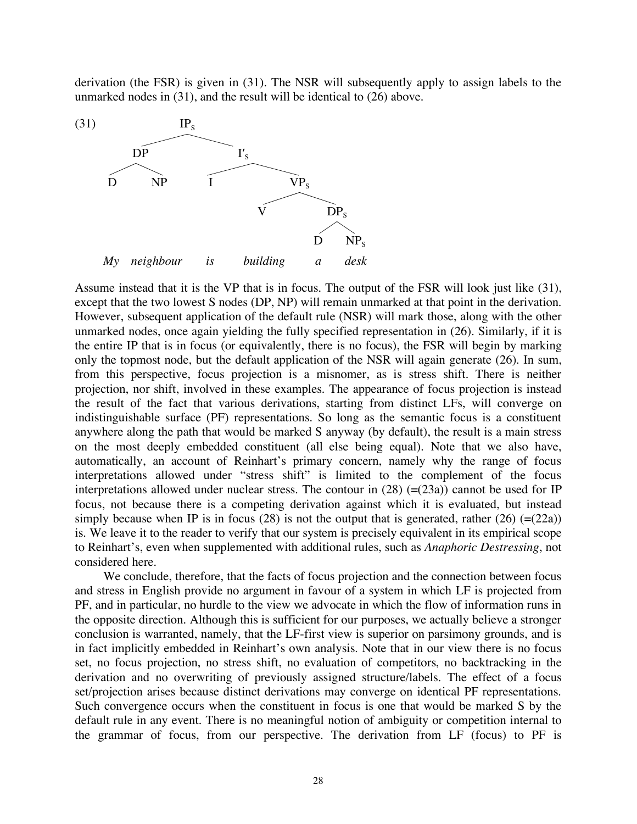derivation (the FSR) is given in (31). The NSR will subsequently apply to assign labels to the unmarked nodes in (31), and the result will be identical to (26) above.



Assume instead that it is the VP that is in focus. The output of the FSR will look just like (31), except that the two lowest S nodes (DP, NP) will remain unmarked at that point in the derivation. However, subsequent application of the default rule (NSR) will mark those, along with the other unmarked nodes, once again yielding the fully specified representation in (26). Similarly, if it is the entire IP that is in focus (or equivalently, there is no focus), the FSR will begin by marking only the topmost node, but the default application of the NSR will again generate (26). In sum, from this perspective, focus projection is a misnomer, as is stress shift. There is neither projection, nor shift, involved in these examples. The appearance of focus projection is instead the result of the fact that various derivations, starting from distinct LFs, will converge on indistinguishable surface (PF) representations. So long as the semantic focus is a constituent anywhere along the path that would be marked S anyway (by default), the result is a main stress on the most deeply embedded constituent (all else being equal). Note that we also have, automatically, an account of Reinhart's primary concern, namely why the range of focus interpretations allowed under "stress shift" is limited to the complement of the focus interpretations allowed under nuclear stress. The contour in  $(28)$  (=(23a)) cannot be used for IP focus, not because there is a competing derivation against which it is evaluated, but instead simply because when IP is in focus (28) is not the output that is generated, rather (26)  $(=(22a))$ is. We leave it to the reader to verify that our system is precisely equivalent in its empirical scope to Reinhart's, even when supplemented with additional rules, such as *Anaphoric Destressing*, not considered here.

We conclude, therefore, that the facts of focus projection and the connection between focus and stress in English provide no argument in favour of a system in which LF is projected from PF, and in particular, no hurdle to the view we advocate in which the flow of information runs in the opposite direction. Although this is sufficient for our purposes, we actually believe a stronger conclusion is warranted, namely, that the LF-first view is superior on parsimony grounds, and is in fact implicitly embedded in Reinhart's own analysis. Note that in our view there is no focus set, no focus projection, no stress shift, no evaluation of competitors, no backtracking in the derivation and no overwriting of previously assigned structure/labels. The effect of a focus set/projection arises because distinct derivations may converge on identical PF representations. Such convergence occurs when the constituent in focus is one that would be marked S by the default rule in any event. There is no meaningful notion of ambiguity or competition internal to the grammar of focus, from our perspective. The derivation from LF (focus) to PF is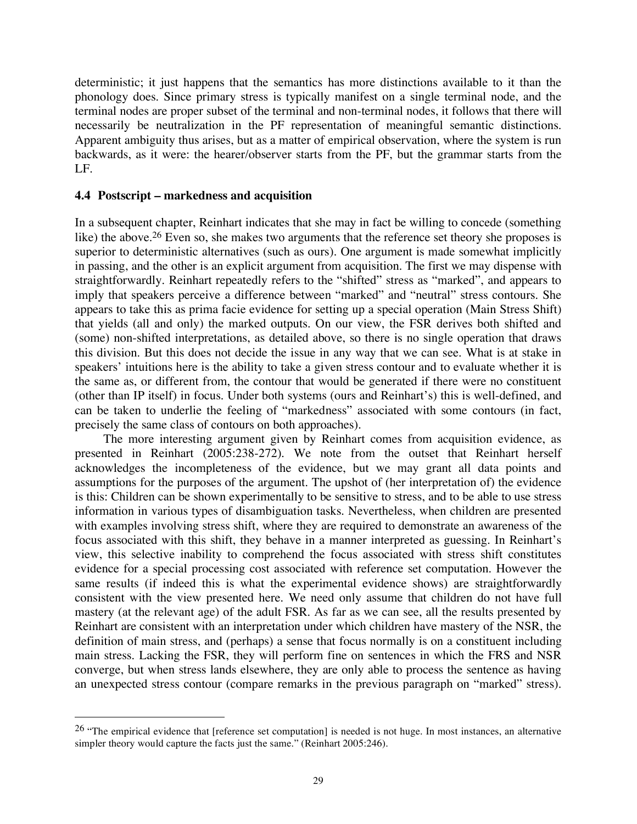deterministic; it just happens that the semantics has more distinctions available to it than the phonology does. Since primary stress is typically manifest on a single terminal node, and the terminal nodes are proper subset of the terminal and non-terminal nodes, it follows that there will necessarily be neutralization in the PF representation of meaningful semantic distinctions. Apparent ambiguity thus arises, but as a matter of empirical observation, where the system is run backwards, as it were: the hearer/observer starts from the PF, but the grammar starts from the  $LE$ .

### **4.4 Postscript – markedness and acquisition**

In a subsequent chapter, Reinhart indicates that she may in fact be willing to concede (something like) the above.<sup>26</sup> Even so, she makes two arguments that the reference set theory she proposes is superior to deterministic alternatives (such as ours). One argument is made somewhat implicitly in passing, and the other is an explicit argument from acquisition. The first we may dispense with straightforwardly. Reinhart repeatedly refers to the "shifted" stress as "marked", and appears to imply that speakers perceive a difference between "marked" and "neutral" stress contours. She appears to take this as prima facie evidence for setting up a special operation (Main Stress Shift) that yields (all and only) the marked outputs. On our view, the FSR derives both shifted and (some) non-shifted interpretations, as detailed above, so there is no single operation that draws this division. But this does not decide the issue in any way that we can see. What is at stake in speakers' intuitions here is the ability to take a given stress contour and to evaluate whether it is the same as, or different from, the contour that would be generated if there were no constituent (other than IP itself) in focus. Under both systems (ours and Reinhart's) this is well-defined, and can be taken to underlie the feeling of "markedness" associated with some contours (in fact, precisely the same class of contours on both approaches).

The more interesting argument given by Reinhart comes from acquisition evidence, as presented in Reinhart (2005:238-272). We note from the outset that Reinhart herself acknowledges the incompleteness of the evidence, but we may grant all data points and assumptions for the purposes of the argument. The upshot of (her interpretation of) the evidence is this: Children can be shown experimentally to be sensitive to stress, and to be able to use stress information in various types of disambiguation tasks. Nevertheless, when children are presented with examples involving stress shift, where they are required to demonstrate an awareness of the focus associated with this shift, they behave in a manner interpreted as guessing. In Reinhart's view, this selective inability to comprehend the focus associated with stress shift constitutes evidence for a special processing cost associated with reference set computation. However the same results (if indeed this is what the experimental evidence shows) are straightforwardly consistent with the view presented here. We need only assume that children do not have full mastery (at the relevant age) of the adult FSR. As far as we can see, all the results presented by Reinhart are consistent with an interpretation under which children have mastery of the NSR, the definition of main stress, and (perhaps) a sense that focus normally is on a constituent including main stress. Lacking the FSR, they will perform fine on sentences in which the FRS and NSR converge, but when stress lands elsewhere, they are only able to process the sentence as having an unexpected stress contour (compare remarks in the previous paragraph on "marked" stress).

<sup>&</sup>lt;sup>26</sup> "The empirical evidence that [reference set computation] is needed is not huge. In most instances, an alternative simpler theory would capture the facts just the same." (Reinhart 2005:246).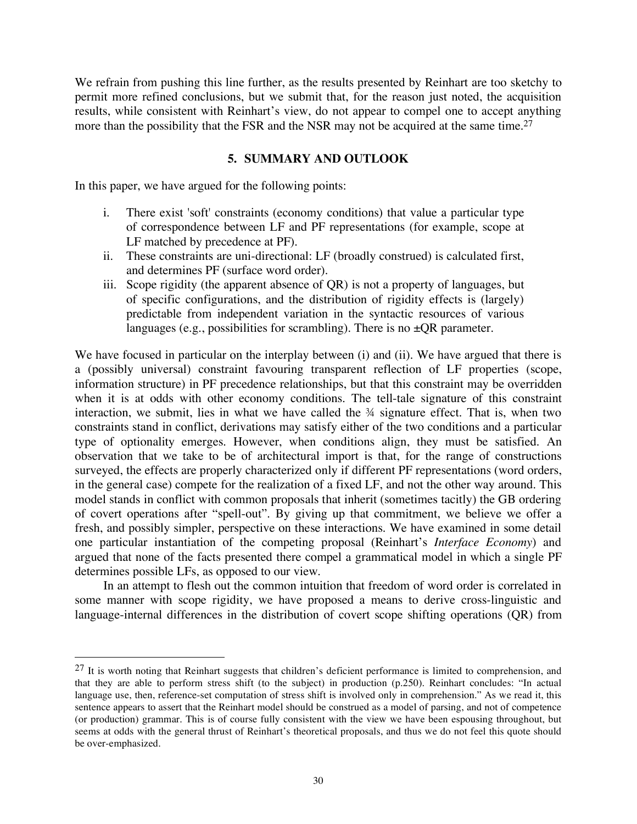We refrain from pushing this line further, as the results presented by Reinhart are too sketchy to permit more refined conclusions, but we submit that, for the reason just noted, the acquisition results, while consistent with Reinhart's view, do not appear to compel one to accept anything more than the possibility that the FSR and the NSR may not be acquired at the same time.<sup>27</sup>

### **5. SUMMARY AND OUTLOOK**

In this paper, we have argued for the following points:

- i. There exist 'soft' constraints (economy conditions) that value a particular type of correspondence between LF and PF representations (for example, scope at LF matched by precedence at PF).
- ii. These constraints are uni-directional: LF (broadly construed) is calculated first, and determines PF (surface word order).
- iii. Scope rigidity (the apparent absence of QR) is not a property of languages, but of specific configurations, and the distribution of rigidity effects is (largely) predictable from independent variation in the syntactic resources of various languages (e.g., possibilities for scrambling). There is no  $\pm QR$  parameter.

We have focused in particular on the interplay between (i) and (ii). We have argued that there is a (possibly universal) constraint favouring transparent reflection of LF properties (scope, information structure) in PF precedence relationships, but that this constraint may be overridden when it is at odds with other economy conditions. The tell-tale signature of this constraint interaction, we submit, lies in what we have called the  $\frac{3}{4}$  signature effect. That is, when two constraints stand in conflict, derivations may satisfy either of the two conditions and a particular type of optionality emerges. However, when conditions align, they must be satisfied. An observation that we take to be of architectural import is that, for the range of constructions surveyed, the effects are properly characterized only if different PF representations (word orders, in the general case) compete for the realization of a fixed LF, and not the other way around. This model stands in conflict with common proposals that inherit (sometimes tacitly) the GB ordering of covert operations after "spell-out". By giving up that commitment, we believe we offer a fresh, and possibly simpler, perspective on these interactions. We have examined in some detail one particular instantiation of the competing proposal (Reinhart's *Interface Economy*) and argued that none of the facts presented there compel a grammatical model in which a single PF determines possible LFs, as opposed to our view.

In an attempt to flesh out the common intuition that freedom of word order is correlated in some manner with scope rigidity, we have proposed a means to derive cross-linguistic and language-internal differences in the distribution of covert scope shifting operations (QR) from

<sup>&</sup>lt;sup>27</sup> It is worth noting that Reinhart suggests that children's deficient performance is limited to comprehension, and that they are able to perform stress shift (to the subject) in production (p.250). Reinhart concludes: "In actual language use, then, reference-set computation of stress shift is involved only in comprehension." As we read it, this sentence appears to assert that the Reinhart model should be construed as a model of parsing, and not of competence (or production) grammar. This is of course fully consistent with the view we have been espousing throughout, but seems at odds with the general thrust of Reinhart's theoretical proposals, and thus we do not feel this quote should be over-emphasized.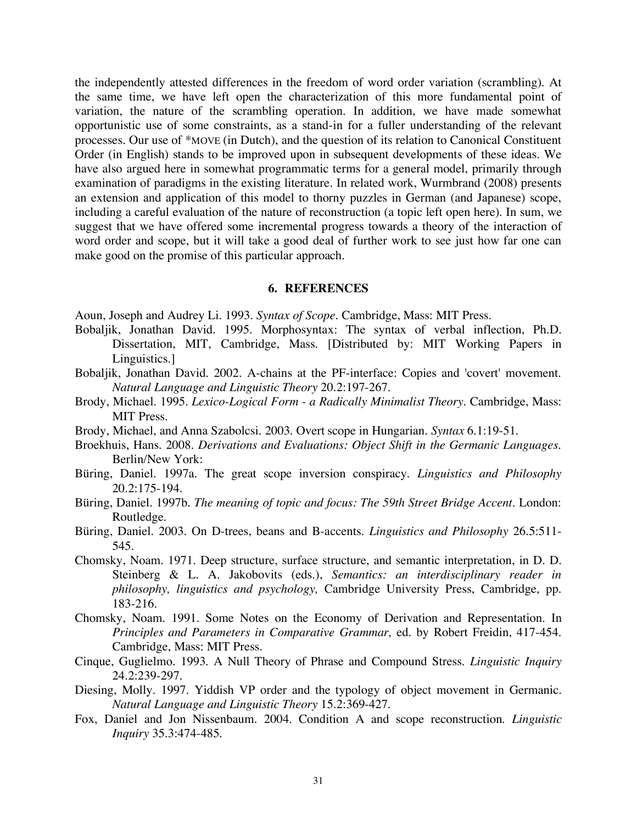the independently attested differences in the freedom of word order variation (scrambling). At the same time, we have left open the characterization of this more fundamental point of variation, the nature of the scrambling operation. In addition, we have made somewhat opportunistic use of some constraints, as a stand-in for a fuller understanding of the relevant processes. Our use of \*MOVE (in Dutch), and the question of its relation to Canonical Constituent Order (in English) stands to be improved upon in subsequent developments of these ideas. We have also argued here in somewhat programmatic terms for a general model, primarily through examination of paradigms in the existing literature. In related work, Wurmbrand (2008) presents an extension and application of this model to thorny puzzles in German (and Japanese) scope, including a careful evaluation of the nature of reconstruction (a topic left open here). In sum, we suggest that we have offered some incremental progress towards a theory of the interaction of word order and scope, but it will take a good deal of further work to see just how far one can make good on the promise of this particular approach.

#### **6. REFERENCES**

Aoun, Joseph and Audrey Li. 1993. *Syntax of Scope*. Cambridge, Mass: MIT Press.

- Bobaljik, Jonathan David. 1995. Morphosyntax: The syntax of verbal inflection, Ph.D. Dissertation, MIT, Cambridge, Mass. [Distributed by: MIT Working Papers in Linguistics.]
- Bobaljik, Jonathan David. 2002. A-chains at the PF-interface: Copies and 'covert' movement. *Natural Language and Linguistic Theory* 20.2:197-267.
- Brody, Michael. 1995. *Lexico-Logical Form - a Radically Minimalist Theory.* Cambridge, Mass: **MIT** Press.
- Brody, Michael, and Anna Szabolcsi. 2003. Overt scope in Hungarian. *Syntax* 6.1:19-51.
- Broekhuis, Hans. 2008. *Derivations and Evaluations: Object Shift in the Germanic Languages*. Berlin/New York:
- Büring, Daniel. 1997a. The great scope inversion conspiracy. *Linguistics and Philosophy* 20.2:175-194.
- Büring, Daniel. 1997b. *The meaning of topic and focus: The 59th Street Bridge Accent*. London: Routledge.
- Büring, Daniel. 2003. On D-trees, beans and B-accents. *Linguistics and Philosophy* 26.5:511- 545.
- Chomsky, Noam. 1971. Deep structure, surface structure, and semantic interpretation, in D. D. Steinberg & L. A. Jakobovits (eds.), *Semantics: an interdisciplinary reader in philosophy, linguistics and psychology,* Cambridge University Press, Cambridge, pp. 183-216.
- Chomsky, Noam. 1991. Some Notes on the Economy of Derivation and Representation. In *Principles and Parameters in Comparative Grammar,* ed. by Robert Freidin, 417-454. Cambridge, Mass: MIT Press.
- Cinque, Guglielmo. 1993. A Null Theory of Phrase and Compound Stress. *Linguistic Inquiry* 24.2:239-297.
- Diesing, Molly. 1997. Yiddish VP order and the typology of object movement in Germanic. *Natural Language and Linguistic Theory* 15.2:369-427.
- Fox, Daniel and Jon Nissenbaum. 2004. Condition A and scope reconstruction. *Linguistic Inquiry* 35.3:474-485.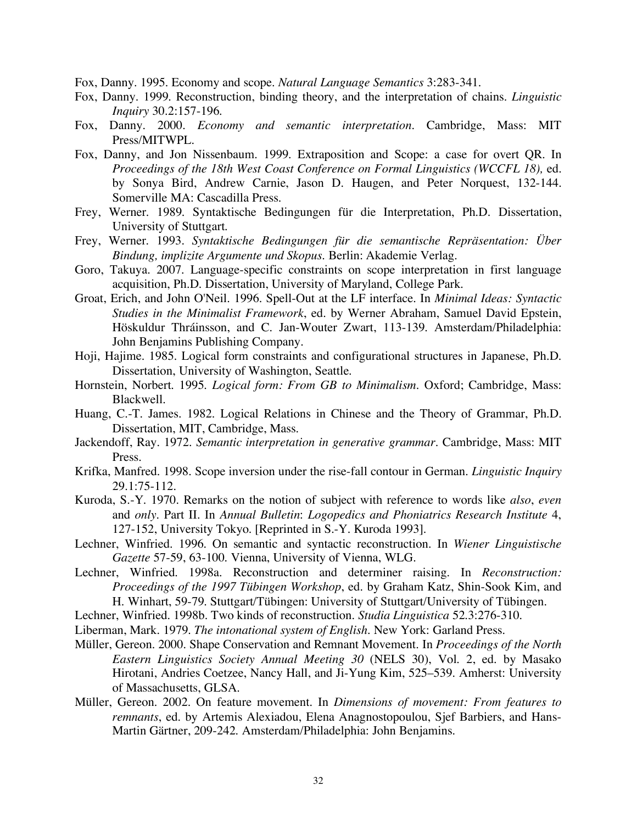Fox, Danny. 1995. Economy and scope. *Natural Language Semantics* 3:283-341.

- Fox, Danny. 1999. Reconstruction, binding theory, and the interpretation of chains. *Linguistic Inquiry* 30.2:157-196.
- Fox, Danny. 2000. *Economy and semantic interpretation*. Cambridge, Mass: MIT Press/MITWPL.
- Fox, Danny, and Jon Nissenbaum. 1999. Extraposition and Scope: a case for overt QR. In *Proceedings of the 18th West Coast Conference on Formal Linguistics (WCCFL 18),* ed. by Sonya Bird, Andrew Carnie, Jason D. Haugen, and Peter Norquest, 132-144. Somerville MA: Cascadilla Press.
- Frey, Werner. 1989. Syntaktische Bedingungen für die Interpretation, Ph.D. Dissertation, University of Stuttgart.
- Frey, Werner. 1993. *Syntaktische Bedingungen für die semantische Repräsentation: Über Bindung, implizite Argumente und Skopus*. Berlin: Akademie Verlag.
- Goro, Takuya. 2007. Language-specific constraints on scope interpretation in first language acquisition, Ph.D. Dissertation, University of Maryland, College Park.
- Groat, Erich, and John O'Neil. 1996. Spell-Out at the LF interface. In *Minimal Ideas: Syntactic Studies in the Minimalist Framework*, ed. by Werner Abraham, Samuel David Epstein, Höskuldur Thráinsson, and C. Jan-Wouter Zwart, 113-139. Amsterdam/Philadelphia: John Benjamins Publishing Company.
- Hoji, Hajime. 1985. Logical form constraints and configurational structures in Japanese, Ph.D. Dissertation, University of Washington, Seattle.
- Hornstein, Norbert. 1995. *Logical form: From GB to Minimalism*. Oxford; Cambridge, Mass: Blackwell.
- Huang, C.-T. James. 1982. Logical Relations in Chinese and the Theory of Grammar, Ph.D. Dissertation, MIT, Cambridge, Mass.
- Jackendoff, Ray. 1972. *Semantic interpretation in generative grammar*. Cambridge, Mass: MIT Press.
- Krifka, Manfred. 1998. Scope inversion under the rise-fall contour in German. *Linguistic Inquiry* 29.1:75-112.
- Kuroda, S.-Y. 1970. Remarks on the notion of subject with reference to words like *also*, *even* and *only*. Part II. In *Annual Bulletin*: *Logopedics and Phoniatrics Research Institute* 4, 127-152, University Tokyo. [Reprinted in S.-Y. Kuroda 1993].
- Lechner, Winfried. 1996. On semantic and syntactic reconstruction. In *Wiener Linguistische Gazette* 57-59, 63-100. Vienna, University of Vienna, WLG.
- Lechner, Winfried. 1998a. Reconstruction and determiner raising. In *Reconstruction: Proceedings of the 1997 Tübingen Workshop*, ed. by Graham Katz, Shin-Sook Kim, and H. Winhart, 59-79. Stuttgart/Tübingen: University of Stuttgart/University of Tübingen.
- Lechner, Winfried. 1998b. Two kinds of reconstruction. *Studia Linguistica* 52.3:276-310.
- Liberman, Mark. 1979. *The intonational system of English.* New York: Garland Press.
- Müller, Gereon. 2000. Shape Conservation and Remnant Movement. In *Proceedings of the North Eastern Linguistics Society Annual Meeting 30* (NELS 30), Vol. 2, ed. by Masako Hirotani, Andries Coetzee, Nancy Hall, and Ji-Yung Kim, 525–539. Amherst: University of Massachusetts, GLSA.
- Müller, Gereon. 2002. On feature movement. In *Dimensions of movement: From features to remnants*, ed. by Artemis Alexiadou, Elena Anagnostopoulou, Sjef Barbiers, and Hans-Martin Gärtner, 209-242. Amsterdam/Philadelphia: John Benjamins.